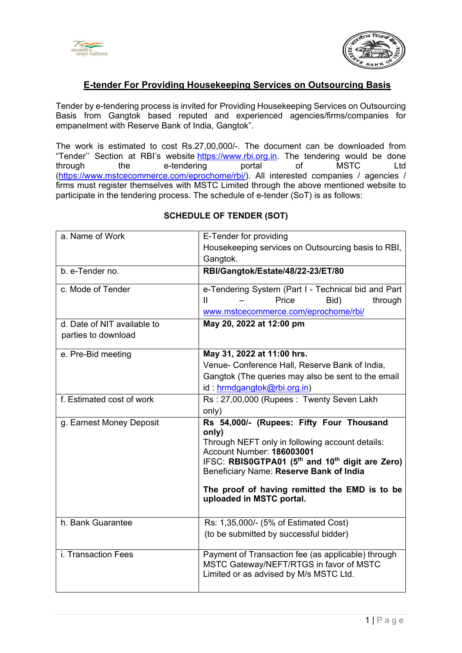



# **E-tender For Providing Housekeeping Services on Outsourcing Basis**

Tender by e-tendering process is invited for Providing Housekeeping Services on Outsourcing Basis from Gangtok based reputed and experienced agencies/firms/companies for empanelment with Reserve Bank of India, Gangtok".

The work is estimated to cost Rs.27,00,000/-. The document can be downloaded from "Tender'' Section at RBI's website [https://www.rbi.org.in.](https://www.rbi.org.in/) The tendering would be done through the e-tendering portal of MSTC Ltd [\(https://www.mstcecommerce.com/eprochome/rbi/](https://www.mstcecommerce.com/eprochome/rbi)). All interested companies / agencies / firms must register themselves with MSTC Limited through the above mentioned website to participate in the tendering process. The schedule of e-tender (SoT) is as follows:

| a. Name of Work             | E-Tender for providing                                                  |  |  |  |
|-----------------------------|-------------------------------------------------------------------------|--|--|--|
|                             | Housekeeping services on Outsourcing basis to RBI,                      |  |  |  |
|                             | Gangtok.                                                                |  |  |  |
| b. e-Tender no.             | RBI/Gangtok/Estate/48/22-23/ET/80                                       |  |  |  |
|                             |                                                                         |  |  |  |
| c. Mode of Tender           | e-Tendering System (Part I - Technical bid and Part                     |  |  |  |
|                             | Price<br>Bid)<br>Ш<br>through                                           |  |  |  |
|                             | www.mstcecommerce.com/eprochome/rbi/                                    |  |  |  |
| d. Date of NIT available to | May 20, 2022 at 12:00 pm                                                |  |  |  |
| parties to download         |                                                                         |  |  |  |
|                             |                                                                         |  |  |  |
| e. Pre-Bid meeting          | May 31, 2022 at 11:00 hrs.                                              |  |  |  |
|                             | Venue- Conference Hall, Reserve Bank of India,                          |  |  |  |
|                             | Gangtok (The queries may also be sent to the email                      |  |  |  |
|                             | id: hrmdgangtok@rbi.org.in)                                             |  |  |  |
| f. Estimated cost of work   | Rs: 27,00,000 (Rupees: Twenty Seven Lakh                                |  |  |  |
|                             | only)                                                                   |  |  |  |
| g. Earnest Money Deposit    | Rs 54,000/- (Rupees: Fifty Four Thousand                                |  |  |  |
|                             | only)                                                                   |  |  |  |
|                             | Through NEFT only in following account details:                         |  |  |  |
|                             | Account Number: 186003001                                               |  |  |  |
|                             | IFSC: RBIS0GTPA01 (5 <sup>th</sup> and 10 <sup>th</sup> digit are Zero) |  |  |  |
|                             | Beneficiary Name: Reserve Bank of India                                 |  |  |  |
|                             | The proof of having remitted the EMD is to be                           |  |  |  |
|                             | uploaded in MSTC portal.                                                |  |  |  |
|                             |                                                                         |  |  |  |
| h. Bank Guarantee           | Rs: 1,35,000/- (5% of Estimated Cost)                                   |  |  |  |
|                             | (to be submitted by successful bidder)                                  |  |  |  |
|                             |                                                                         |  |  |  |
| i. Transaction Fees         | Payment of Transaction fee (as applicable) through                      |  |  |  |
|                             | MSTC Gateway/NEFT/RTGS in favor of MSTC                                 |  |  |  |
|                             | Limited or as advised by M/s MSTC Ltd.                                  |  |  |  |
|                             |                                                                         |  |  |  |

#### **SCHEDULE OF TENDER (SOT)**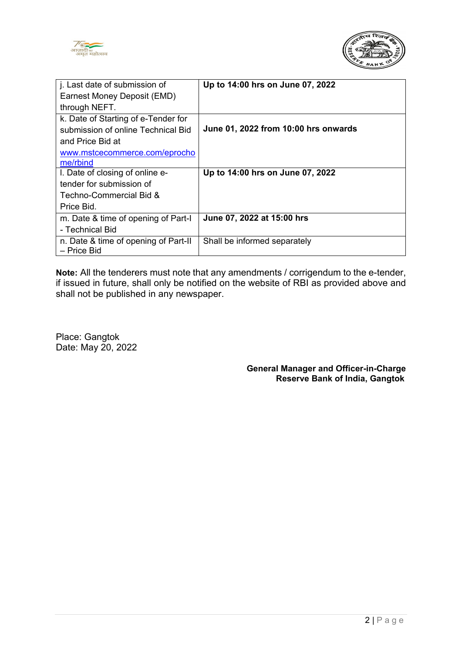



| j. Last date of submission of                       | Up to 14:00 hrs on June 07, 2022     |
|-----------------------------------------------------|--------------------------------------|
| Earnest Money Deposit (EMD)                         |                                      |
| through NEFT.                                       |                                      |
| k. Date of Starting of e-Tender for                 |                                      |
| submission of online Technical Bid                  | June 01, 2022 from 10:00 hrs onwards |
| and Price Bid at                                    |                                      |
| www.mstcecommerce.com/eprocho                       |                                      |
| me/rbind                                            |                                      |
| I. Date of closing of online e-                     | Up to 14:00 hrs on June 07, 2022     |
| tender for submission of                            |                                      |
| Techno-Commercial Bid &                             |                                      |
| Price Bid.                                          |                                      |
| m. Date & time of opening of Part-I                 | June 07, 2022 at 15:00 hrs           |
| - Technical Bid                                     |                                      |
| n. Date & time of opening of Part-II<br>– Price Bid | Shall be informed separately         |

**Note:** All the tenderers must note that any amendments / corrigendum to the e-tender, if issued in future, shall only be notified on the website of RBI as provided above and shall not be published in any newspaper.

Place: Gangtok Date: May 20, 2022

> **General Manager and Officer-in-Charge Reserve Bank of India, Gangtok**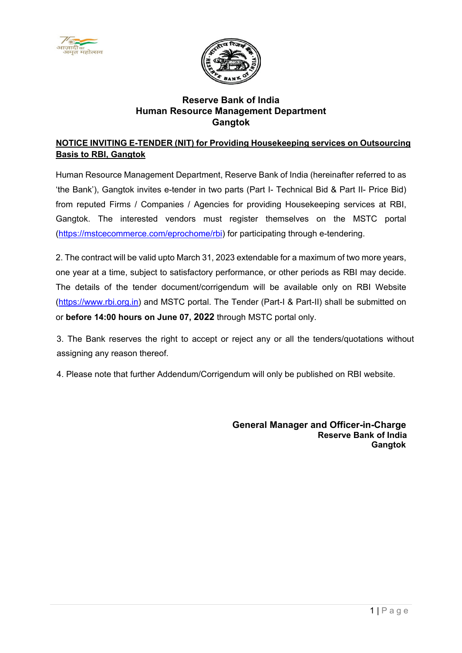



# **Reserve Bank of India Human Resource Management Department Gangtok**

## **NOTICE INVITING E-TENDER (NIT) for Providing Housekeeping services on Outsourcing Basis to RBI, Gangtok**

Human Resource Management Department, Reserve Bank of India (hereinafter referred to as 'the Bank'), Gangtok invites e-tender in two parts (Part I- Technical Bid & Part II- Price Bid) from reputed Firms / Companies / Agencies for providing Housekeeping services at RBI, Gangtok. The interested vendors must register themselves on the MSTC portal [\(https://mstcecommerce.com/eprochome/rbi\)](https://www.mstcecommerce.com/eprochome/rbi/) for participating through e-tendering.

2. The contract will be valid upto March 31, 2023 extendable for a maximum of two more years, one year at a time, subject to satisfactory performance, or other periods as RBI may decide. The details of the tender document/corrigendum will be available only on RBI Website [\(https://www.rbi.org.in\)](https://www.rbi.org.in/) and MSTC portal. The Tender (Part-I & Part-II) shall be submitted on or **before 14:00 hours on June 07, 2022** through MSTC portal only.

3. The Bank reserves the right to accept or reject any or all the tenders/quotations without assigning any reason thereof.

4. Please note that further Addendum/Corrigendum will only be published on RBI website.

**General Manager and Officer-in-Charge Reserve Bank of India Gangtok**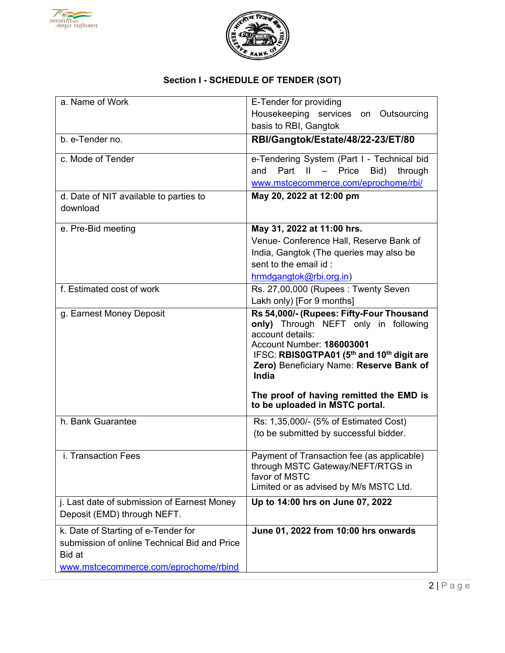



# **Section I - SCHEDULE OF TENDER (SOT)**

| a. Name of Work                              | E-Tender for providing                                                           |
|----------------------------------------------|----------------------------------------------------------------------------------|
|                                              | Housekeeping services on Outsourcing                                             |
|                                              | basis to RBI, Gangtok                                                            |
| b. e-Tender no.                              | RBI/Gangtok/Estate/48/22-23/ET/80                                                |
| c. Mode of Tender                            | e-Tendering System (Part I - Technical bid                                       |
|                                              | Part II - Price<br>Bid)<br>and<br>through                                        |
|                                              | www.mstcecommerce.com/eprochome/rbi/                                             |
| d. Date of NIT available to parties to       | May 20, 2022 at 12:00 pm                                                         |
| download                                     |                                                                                  |
| e. Pre-Bid meeting                           | May 31, 2022 at 11:00 hrs.                                                       |
|                                              | Venue- Conference Hall, Reserve Bank of                                          |
|                                              | India, Gangtok (The queries may also be                                          |
|                                              | sent to the email id :                                                           |
|                                              | hrmdgangtok@rbi.org.in)                                                          |
| f. Estimated cost of work                    | Rs. 27,00,000 (Rupees: Twenty Seven                                              |
|                                              | Lakh only) [For 9 months]                                                        |
| g. Earnest Money Deposit                     | Rs 54,000/- (Rupees: Fifty-Four Thousand<br>only) Through NEFT only in following |
|                                              | account details:                                                                 |
|                                              | Account Number: 186003001                                                        |
|                                              | IFSC: RBIS0GTPA01 (5 <sup>th</sup> and 10 <sup>th</sup> digit are                |
|                                              | Zero) Beneficiary Name: Reserve Bank of<br>India                                 |
|                                              | The proof of having remitted the EMD is<br>to be uploaded in MSTC portal.        |
| h. Bank Guarantee                            | Rs: 1,35,000/- (5% of Estimated Cost)                                            |
|                                              | (to be submitted by successful bidder.                                           |
| i. Transaction Fees                          | Payment of Transaction fee (as applicable)                                       |
|                                              | through MSTC Gateway/NEFT/RTGS in                                                |
|                                              | favor of MSTC                                                                    |
|                                              | Limited or as advised by M/s MSTC Ltd.                                           |
| j. Last date of submission of Earnest Money  | Up to 14:00 hrs on June 07, 2022                                                 |
| Deposit (EMD) through NEFT.                  |                                                                                  |
| k. Date of Starting of e-Tender for          | June 01, 2022 from 10:00 hrs onwards                                             |
| submission of online Technical Bid and Price |                                                                                  |
| Bid at                                       |                                                                                  |
| www.mstcecommerce.com/eprochome/rbind        |                                                                                  |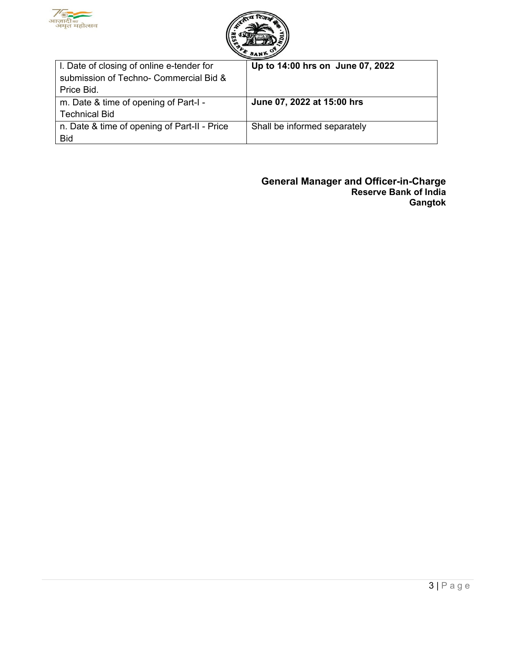



| I. Date of closing of online e-tender for    | Up to 14:00 hrs on June 07, 2022 |
|----------------------------------------------|----------------------------------|
| submission of Techno- Commercial Bid &       |                                  |
| Price Bid.                                   |                                  |
| m. Date & time of opening of Part-I -        | June 07, 2022 at 15:00 hrs       |
| <b>Technical Bid</b>                         |                                  |
| n. Date & time of opening of Part-II - Price | Shall be informed separately     |
| <b>Bid</b>                                   |                                  |

**General Manager and Officer-in-Charge Reserve Bank of India Gangtok**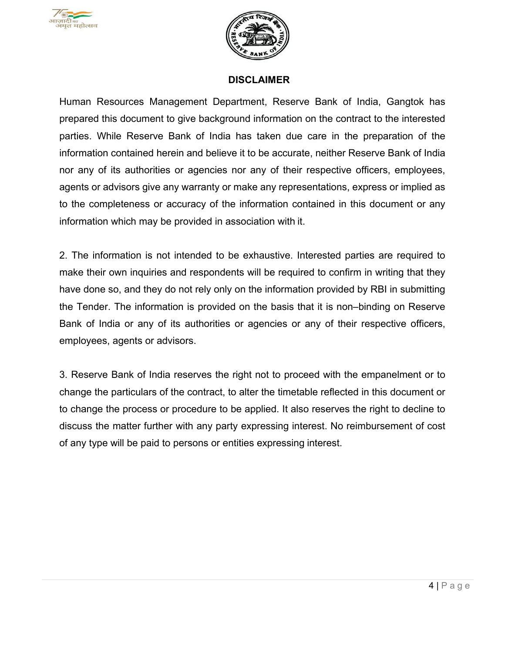



#### **DISCLAIMER**

Human Resources Management Department, Reserve Bank of India, Gangtok has prepared this document to give background information on the contract to the interested parties. While Reserve Bank of India has taken due care in the preparation of the information contained herein and believe it to be accurate, neither Reserve Bank of India nor any of its authorities or agencies nor any of their respective officers, employees, agents or advisors give any warranty or make any representations, express or implied as to the completeness or accuracy of the information contained in this document or any information which may be provided in association with it.

2. The information is not intended to be exhaustive. Interested parties are required to make their own inquiries and respondents will be required to confirm in writing that they have done so, and they do not rely only on the information provided by RBI in submitting the Tender. The information is provided on the basis that it is non–binding on Reserve Bank of India or any of its authorities or agencies or any of their respective officers, employees, agents or advisors.

3. Reserve Bank of India reserves the right not to proceed with the empanelment or to change the particulars of the contract, to alter the timetable reflected in this document or to change the process or procedure to be applied. It also reserves the right to decline to discuss the matter further with any party expressing interest. No reimbursement of cost of any type will be paid to persons or entities expressing interest.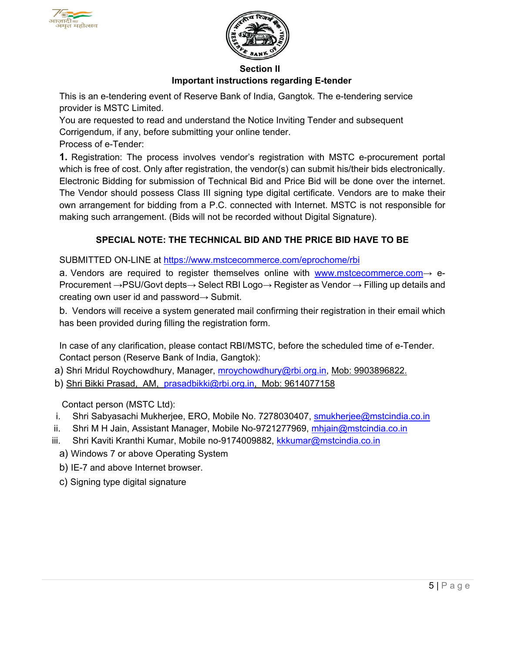



#### **Section II**

#### **Important instructions regarding E-tender**

This is an e-tendering event of Reserve Bank of India, Gangtok. The e-tendering service provider is MSTC Limited.

You are requested to read and understand the Notice Inviting Tender and subsequent Corrigendum, if any, before submitting your online tender.

Process of e-Tender:

**1.** Registration: The process involves vendor's registration with MSTC e-procurement portal which is free of cost. Only after registration, the vendor(s) can submit his/their bids electronically. Electronic Bidding for submission of Technical Bid and Price Bid will be done over the internet. The Vendor should possess Class III signing type digital certificate. Vendors are to make their own arrangement for bidding from a P.C. connected with Internet. MSTC is not responsible for making such arrangement. (Bids will not be recorded without Digital Signature).

## **SPECIAL NOTE: THE TECHNICAL BID AND THE PRICE BID HAVE TO BE**

SUBMITTED ON-LINE at [https://www.mstcecommerce.com/eprochome/rbi](https://www.mstcecommerce.com/eprochome/rbi/)

a. Vendors are required to register themselves online with [www.mstcecommerce.com](https://www.mstcecommerce.com/) $\rightarrow$  e-Procurement →PSU/Govt depts→ Select RBI Logo→ Register as Vendor → Filling up details and creating own user id and password→ Submit.

b. Vendors will receive a system generated mail confirming their registration in their email which has been provided during filling the registration form.

In case of any clarification, please contact RBI/MSTC, before the scheduled time of e-Tender. Contact person (Reserve Bank of India, Gangtok):

- a) Shri Mridul Roychowdhury, Manager, [mroychowdhury@rbi.org.in,](mailto:mroychowdhury@rbi.org.in) Mob: 9903896822.
- b) Shri Bikki Prasad, AM, [prasadbikki@rbi.org.in,](mailto:prasadbikki@rbi.org.in) Mob: 9614077158

Contact person (MSTC Ltd):

- i. Shri Sabyasachi Mukherjee, ERO, Mobile No. 7278030407, [smukherjee@mstcindia.co.in](mailto:smukherjee@mstcindia.co.in)
- ii. Shri M H Jain, Assistant Manager, Mobile No-9721277969, [mhjain@mstcindia.co.in](mailto:mhjain@mstcindia.co.in)
- iii. Shri Kaviti Kranthi Kumar, Mobile no-9174009882, [kkkumar@mstcindia.co.in](mailto:kkkumar@mstcindia.co.in)
	- a) Windows 7 or above Operating System
	- b) IE-7 and above Internet browser.
	- c) Signing type digital signature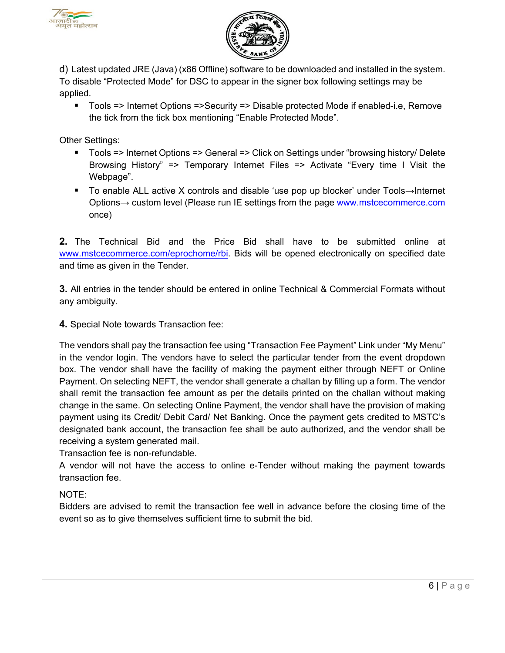



d) Latest updated JRE (Java) (x86 Offline) software to be downloaded and installed in the system. To disable "Protected Mode" for DSC to appear in the signer box following settings may be applied.

 Tools => Internet Options =>Security => Disable protected Mode if enabled-i.e, Remove the tick from the tick box mentioning "Enable Protected Mode".

Other Settings:

- Tools => Internet Options => General => Click on Settings under "browsing history/ Delete Browsing History" => Temporary Internet Files => Activate "Every time I Visit the Webpage".
- To enable ALL active X controls and disable 'use pop up blocker' under Tools→Internet Options→ custom level (Please run IE settings from the page [www.mstcecommerce.com](https://www.mstcecommerce.com/) once)

**2.** The Technical Bid and the Price Bid shall have to be submitted online a[t](https://www.mstcecommerce.com/eprochome/rbi) [www.mstcecommerce.com/eprochome/rbi.](https://www.mstcecommerce.com/eprochome/rbi) Bids will be opened electronically on specified date and time as given in the Tender.

**3.** All entries in the tender should be entered in online Technical & Commercial Formats without any ambiguity.

**4.** Special Note towards Transaction fee:

The vendors shall pay the transaction fee using "Transaction Fee Payment" Link under "My Menu" in the vendor login. The vendors have to select the particular tender from the event dropdown box. The vendor shall have the facility of making the payment either through NEFT or Online Payment. On selecting NEFT, the vendor shall generate a challan by filling up a form. The vendor shall remit the transaction fee amount as per the details printed on the challan without making change in the same. On selecting Online Payment, the vendor shall have the provision of making payment using its Credit/ Debit Card/ Net Banking. Once the payment gets credited to MSTC's designated bank account, the transaction fee shall be auto authorized, and the vendor shall be receiving a system generated mail.

Transaction fee is non-refundable.

A vendor will not have the access to online e-Tender without making the payment towards transaction fee.

NOTE:

Bidders are advised to remit the transaction fee well in advance before the closing time of the event so as to give themselves sufficient time to submit the bid.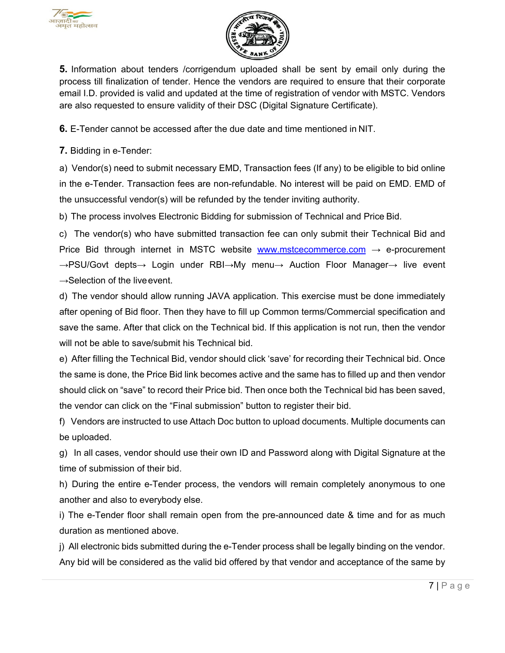



**5.** Information about tenders /corrigendum uploaded shall be sent by email only during the process till finalization of tender. Hence the vendors are required to ensure that their corporate email I.D. provided is valid and updated at the time of registration of vendor with MSTC. Vendors are also requested to ensure validity of their DSC (Digital Signature Certificate).

**6.** E-Tender cannot be accessed after the due date and time mentioned in NIT.

**7.** Bidding in e-Tender:

a) Vendor(s) need to submit necessary EMD, Transaction fees (If any) to be eligible to bid online in the e-Tender. Transaction fees are non-refundable. No interest will be paid on EMD. EMD of the unsuccessful vendor(s) will be refunded by the tender inviting authority.

b) The process involves Electronic Bidding for submission of Technical and Price Bid.

c) The vendor(s) who have submitted transaction fee can only submit their Technical Bid and Price Bid through internet in MSTC website [www.mstcecommerce.com](https://www.mstcecommerce.com/)  $\rightarrow$  e-procurement →PSU/Govt depts→ Login under RBI→My menu→ Auction Floor Manager→ live event  $\rightarrow$ Selection of the live event.

d) The vendor should allow running JAVA application. This exercise must be done immediately after opening of Bid floor. Then they have to fill up Common terms/Commercial specification and save the same. After that click on the Technical bid. If this application is not run, then the vendor will not be able to save/submit his Technical bid.

e) After filling the Technical Bid, vendor should click 'save' for recording their Technical bid. Once the same is done, the Price Bid link becomes active and the same has to filled up and then vendor should click on "save" to record their Price bid. Then once both the Technical bid has been saved, the vendor can click on the "Final submission" button to register their bid.

f) Vendors are instructed to use Attach Doc button to upload documents. Multiple documents can be uploaded.

g) In all cases, vendor should use their own ID and Password along with Digital Signature at the time of submission of their bid.

h) During the entire e-Tender process, the vendors will remain completely anonymous to one another and also to everybody else.

i) The e-Tender floor shall remain open from the pre-announced date & time and for as much duration as mentioned above.

j) All electronic bids submitted during the e-Tender process shall be legally binding on the vendor. Any bid will be considered as the valid bid offered by that vendor and acceptance of the same by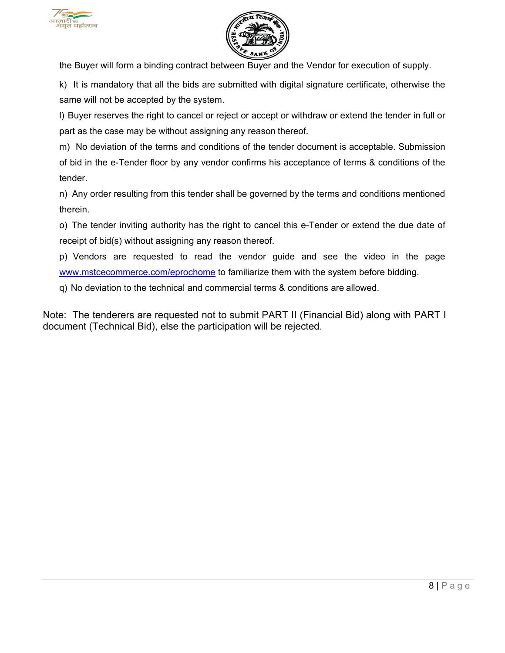



the Buyer will form a binding contract between Buyer and the Vendor for execution of supply.

k) It is mandatory that all the bids are submitted with digital signature certificate, otherwise the same will not be accepted by the system.

l) Buyer reserves the right to cancel or reject or accept or withdraw or extend the tender in full or part as the case may be without assigning any reason thereof.

m) No deviation of the terms and conditions of the tender document is acceptable. Submission of bid in the e-Tender floor by any vendor confirms his acceptance of terms & conditions of the tender.

n) Any order resulting from this tender shall be governed by the terms and conditions mentioned therein.

o) The tender inviting authority has the right to cancel this e-Tender or extend the due date of receipt of bid(s) without assigning any reason thereof.

p) Vendors are requested to read the vendor guide and see the video in the pag[e](https://www.mstcecommerce.com/eprochome) [www.mstcecommerce.com/eprochome](https://www.mstcecommerce.com/eprochome) to familiarize them with the system before bidding.

q) No deviation to the technical and commercial terms & conditions are allowed.

Note: The tenderers are requested not to submit PART II (Financial Bid) along with PART I document (Technical Bid), else the participation will be rejected.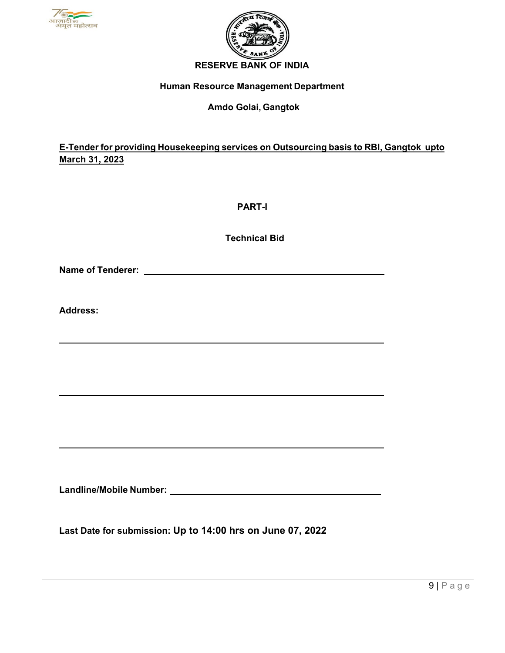



# **Human Resource Management Department**

#### **Amdo Golai, Gangtok**

## **E-Tender for providing Housekeeping services on Outsourcing basis to RBI, Gangtok upto March 31, 2023**

**PART-I**

**Technical Bid**

**Name of Tenderer:** 

**Address:**

**Landline/Mobile Number:**

**Last Date for submission: Up to 14:00 hrs on June 07, 2022**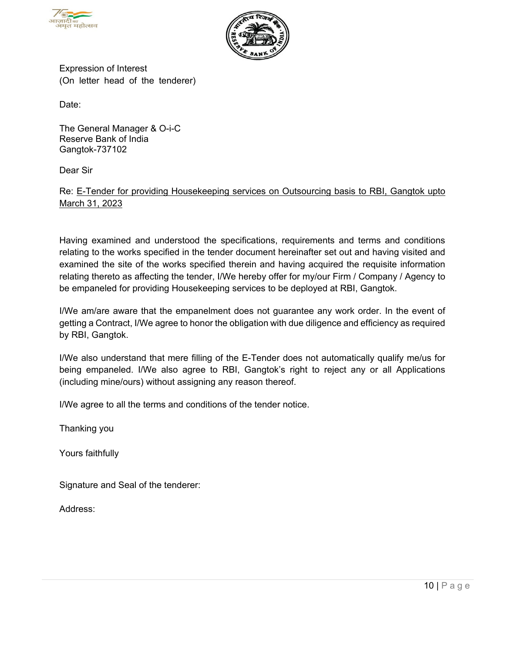



Expression of Interest (On letter head of the tenderer)

Date:

The General Manager & O-i-C Reserve Bank of India Gangtok-737102

Dear Sir

#### Re: E-Tender for providing Housekeeping services on Outsourcing basis to RBI, Gangtok upto March 31, 2023

Having examined and understood the specifications, requirements and terms and conditions relating to the works specified in the tender document hereinafter set out and having visited and examined the site of the works specified therein and having acquired the requisite information relating thereto as affecting the tender, I/We hereby offer for my/our Firm / Company / Agency to be empaneled for providing Housekeeping services to be deployed at RBI, Gangtok.

I/We am/are aware that the empanelment does not guarantee any work order. In the event of getting a Contract, I/We agree to honor the obligation with due diligence and efficiency as required by RBI, Gangtok.

I/We also understand that mere filling of the E-Tender does not automatically qualify me/us for being empaneled. I/We also agree to RBI, Gangtok's right to reject any or all Applications (including mine/ours) without assigning any reason thereof.

I/We agree to all the terms and conditions of the tender notice.

Thanking you

Yours faithfully

Signature and Seal of the tenderer:

Address: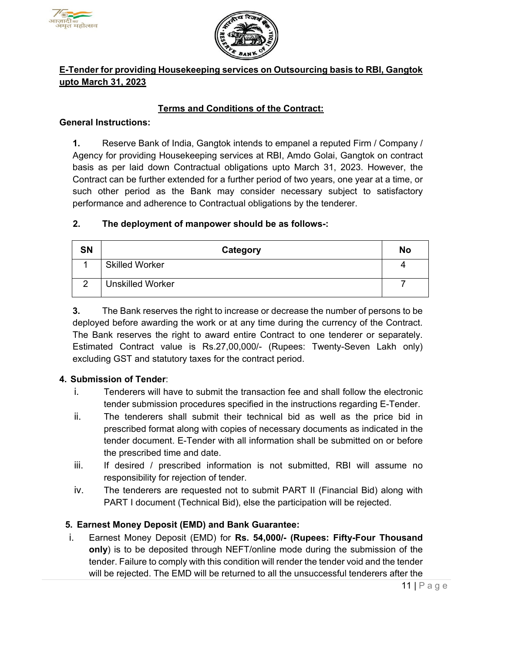



## **E-Tender for providing Housekeeping services on Outsourcing basis to RBI, Gangtok upto March 31, 2023**

## **Terms and Conditions of the Contract:**

#### **General Instructions:**

**1.** Reserve Bank of India, Gangtok intends to empanel a reputed Firm / Company / Agency for providing Housekeeping services at RBI, Amdo Golai, Gangtok on contract basis as per laid down Contractual obligations upto March 31, 2023. However, the Contract can be further extended for a further period of two years, one year at a time, or such other period as the Bank may consider necessary subject to satisfactory performance and adherence to Contractual obligations by the tenderer.

#### **2. The deployment of manpower should be as follows-:**

| SN | Category                | No |
|----|-------------------------|----|
|    | <b>Skilled Worker</b>   |    |
| ◠  | <b>Unskilled Worker</b> |    |

**3.** The Bank reserves the right to increase or decrease the number of persons to be deployed before awarding the work or at any time during the currency of the Contract. The Bank reserves the right to award entire Contract to one tenderer or separately. Estimated Contract value is Rs.27,00,000/- (Rupees: Twenty-Seven Lakh only) excluding GST and statutory taxes for the contract period.

#### **4. Submission of Tender**:

- i. Tenderers will have to submit the transaction fee and shall follow the electronic tender submission procedures specified in the instructions regarding E-Tender.
- ii. The tenderers shall submit their technical bid as well as the price bid in prescribed format along with copies of necessary documents as indicated in the tender document. E-Tender with all information shall be submitted on or before the prescribed time and date.
- iii. If desired / prescribed information is not submitted, RBI will assume no responsibility for rejection of tender.
- iv. The tenderers are requested not to submit PART II (Financial Bid) along with PART I document (Technical Bid), else the participation will be rejected.

#### **5. Earnest Money Deposit (EMD) and Bank Guarantee:**

i. Earnest Money Deposit (EMD) for **Rs. 54,000/- (Rupees: Fifty-Four Thousand only**) is to be deposited through NEFT/online mode during the submission of the tender. Failure to comply with this condition will render the tender void and the tender will be rejected. The EMD will be returned to all the unsuccessful tenderers after the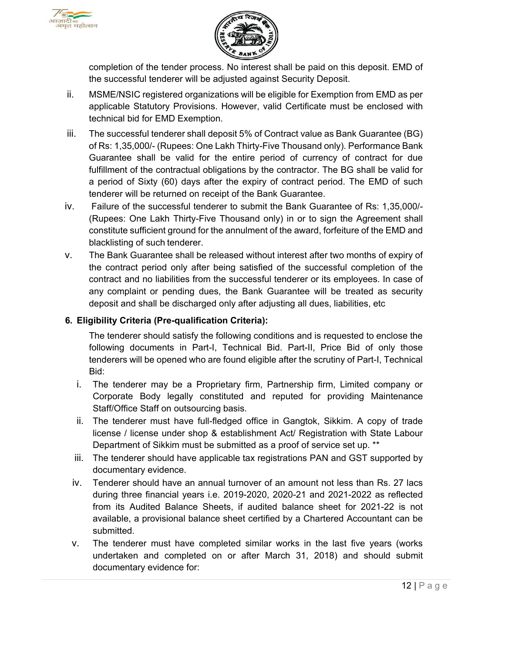



completion of the tender process. No interest shall be paid on this deposit. EMD of the successful tenderer will be adjusted against Security Deposit.

- ii. MSME/NSIC registered organizations will be eligible for Exemption from EMD as per applicable Statutory Provisions. However, valid Certificate must be enclosed with technical bid for EMD Exemption.
- iii. The successful tenderer shall deposit 5% of Contract value as Bank Guarantee (BG) of Rs: 1,35,000/- (Rupees: One Lakh Thirty-Five Thousand only). Performance Bank Guarantee shall be valid for the entire period of currency of contract for due fulfillment of the contractual obligations by the contractor. The BG shall be valid for a period of Sixty (60) days after the expiry of contract period. The EMD of such tenderer will be returned on receipt of the Bank Guarantee.
- iv. Failure of the successful tenderer to submit the Bank Guarantee of Rs: 1,35,000/- (Rupees: One Lakh Thirty-Five Thousand only) in or to sign the Agreement shall constitute sufficient ground for the annulment of the award, forfeiture of the EMD and blacklisting of such tenderer.
- v. The Bank Guarantee shall be released without interest after two months of expiry of the contract period only after being satisfied of the successful completion of the contract and no liabilities from the successful tenderer or its employees. In case of any complaint or pending dues, the Bank Guarantee will be treated as security deposit and shall be discharged only after adjusting all dues, liabilities, etc

#### **6. Eligibility Criteria (Pre-qualification Criteria):**

The tenderer should satisfy the following conditions and is requested to enclose the following documents in Part-I, Technical Bid. Part-II, Price Bid of only those tenderers will be opened who are found eligible after the scrutiny of Part-I, Technical Bid:

- i. The tenderer may be a Proprietary firm, Partnership firm, Limited company or Corporate Body legally constituted and reputed for providing Maintenance Staff/Office Staff on outsourcing basis.
- ii. The tenderer must have full-fledged office in Gangtok, Sikkim. A copy of trade license / license under shop & establishment Act/ Registration with State Labour Department of Sikkim must be submitted as a proof of service set up. \*\*
- iii. The tenderer should have applicable tax registrations PAN and GST supported by documentary evidence.
- iv. Tenderer should have an annual turnover of an amount not less than Rs. 27 lacs during three financial years i.e. 2019-2020, 2020-21 and 2021-2022 as reflected from its Audited Balance Sheets, if audited balance sheet for 2021-22 is not available, a provisional balance sheet certified by a Chartered Accountant can be submitted.
- v. The tenderer must have completed similar works in the last five years (works undertaken and completed on or after March 31, 2018) and should submit documentary evidence for: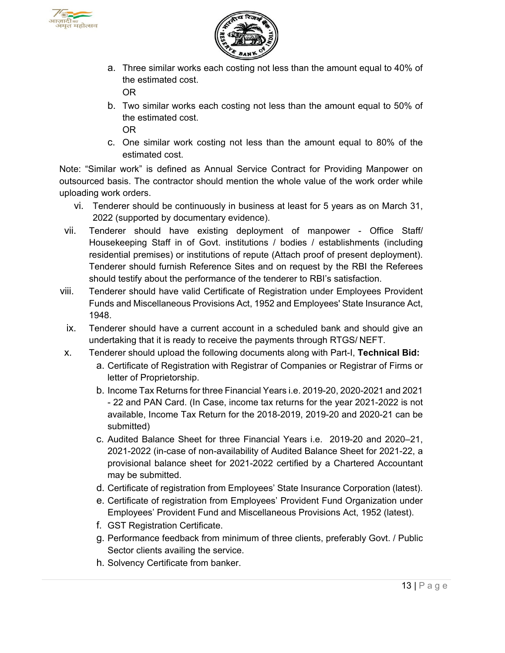



a. Three similar works each costing not less than the amount equal to 40% of the estimated cost.

OR

b. Two similar works each costing not less than the amount equal to 50% of the estimated cost.

OR

c. One similar work costing not less than the amount equal to 80% of the estimated cost.

Note: "Similar work" is defined as Annual Service Contract for Providing Manpower on outsourced basis. The contractor should mention the whole value of the work order while uploading work orders.

- vi. Tenderer should be continuously in business at least for 5 years as on March 31, 2022 (supported by documentary evidence).
- vii. Tenderer should have existing deployment of manpower Office Staff/ Housekeeping Staff in of Govt. institutions / bodies / establishments (including residential premises) or institutions of repute (Attach proof of present deployment). Tenderer should furnish Reference Sites and on request by the RBI the Referees should testify about the performance of the tenderer to RBI's satisfaction.
- viii. Tenderer should have valid Certificate of Registration under Employees Provident Funds and Miscellaneous Provisions Act, 1952 and Employees' State Insurance Act, 1948.
	- ix. Tenderer should have a current account in a scheduled bank and should give an undertaking that it is ready to receive the payments through RTGS/ NEFT.
- x. Tenderer should upload the following documents along with Part-I, **Technical Bid:**
	- a. Certificate of Registration with Registrar of Companies or Registrar of Firms or letter of Proprietorship.
	- b. Income Tax Returns for three Financial Years i.e. 2019-20, 2020-2021 and 2021 - 22 and PAN Card. (In Case, income tax returns for the year 2021-2022 is not available, Income Tax Return for the 2018-2019, 2019-20 and 2020-21 can be submitted)
	- c. Audited Balance Sheet for three Financial Years i.e. 2019-20 and 2020–21, 2021-2022 (in-case of non-availability of Audited Balance Sheet for 2021-22, a provisional balance sheet for 2021-2022 certified by a Chartered Accountant may be submitted.
	- d. Certificate of registration from Employees' State Insurance Corporation (latest).
	- e. Certificate of registration from Employees' Provident Fund Organization under Employees' Provident Fund and Miscellaneous Provisions Act, 1952 (latest).
	- f. GST Registration Certificate.
	- g. Performance feedback from minimum of three clients, preferably Govt. / Public Sector clients availing the service.
	- h. Solvency Certificate from banker.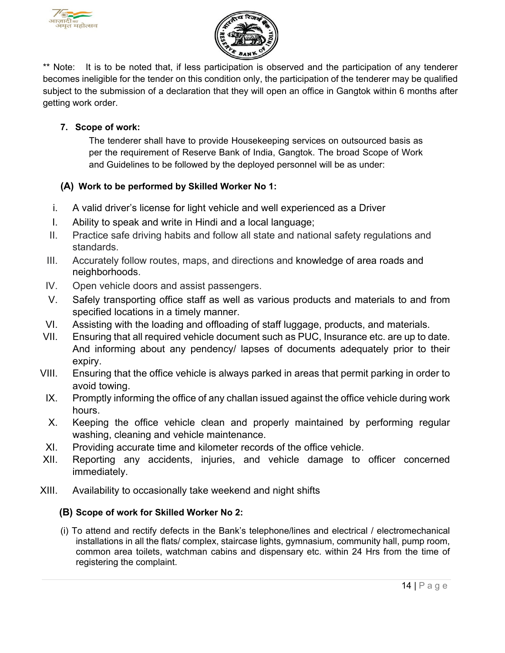



\*\* Note: It is to be noted that, if less participation is observed and the participation of any tenderer becomes ineligible for the tender on this condition only, the participation of the tenderer may be qualified subject to the submission of a declaration that they will open an office in Gangtok within 6 months after getting work order.

## **7. Scope of work:**

The tenderer shall have to provide Housekeeping services on outsourced basis as per the requirement of Reserve Bank of India, Gangtok. The broad Scope of Work and Guidelines to be followed by the deployed personnel will be as under:

## **(A) Work to be performed by Skilled Worker No 1:**

- i. A valid driver's license for light vehicle and well experienced as a Driver
- I. Ability to speak and write in Hindi and a local language;
- II. Practice safe driving habits and follow all state and national safety regulations and standards.
- III. Accurately follow routes, maps, and directions and knowledge of area roads and neighborhoods.
- IV. Open vehicle doors and assist passengers.
- V. Safely transporting office staff as well as various products and materials to and from specified locations in a timely manner.
- VI. Assisting with the loading and offloading of staff luggage, products, and materials.
- VII. Ensuring that all required vehicle document such as PUC, Insurance etc. are up to date. And informing about any pendency/ lapses of documents adequately prior to their expiry.
- VIII. Ensuring that the office vehicle is always parked in areas that permit parking in order to avoid towing.
- IX. Promptly informing the office of any challan issued against the office vehicle during work hours.
- X. Keeping the office vehicle clean and properly maintained by performing regular washing, cleaning and vehicle maintenance.
- XI. Providing accurate time and kilometer records of the office vehicle.
- XII. Reporting any accidents, injuries, and vehicle damage to officer concerned immediately.
- XIII. Availability to occasionally take weekend and night shifts

#### **(B) Scope of work for Skilled Worker No 2:**

(i) To attend and rectify defects in the Bank's telephone/lines and electrical / electromechanical installations in all the flats/ complex, staircase lights, gymnasium, community hall, pump room, common area toilets, watchman cabins and dispensary etc. within 24 Hrs from the time of registering the complaint.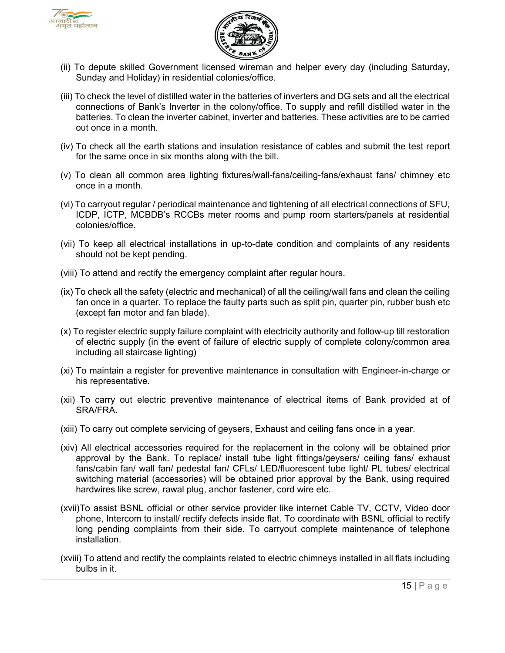



- (ii) To depute skilled Government licensed wireman and helper every day (including Saturday, Sunday and Holiday) in residential colonies/office.
- (iii) To check the level of distilled water in the batteries of inverters and DG sets and all the electrical connections of Bank's Inverter in the colony/office. To supply and refill distilled water in the batteries. To clean the inverter cabinet, inverter and batteries. These activities are to be carried out once in a month.
- (iv) To check all the earth stations and insulation resistance of cables and submit the test report for the same once in six months along with the bill.
- (v) To clean all common area lighting fixtures/wall-fans/ceiling-fans/exhaust fans/ chimney etc once in a month.
- (vi) To carryout regular / periodical maintenance and tightening of all electrical connections of SFU, ICDP, ICTP, MCBDB's RCCBs meter rooms and pump room starters/panels at residential colonies/office.
- (vii) To keep all electrical installations in up-to-date condition and complaints of any residents should not be kept pending.
- (viii) To attend and rectify the emergency complaint after regular hours.
- (ix) To check all the safety (electric and mechanical) of all the ceiling/wall fans and clean the ceiling fan once in a quarter. To replace the faulty parts such as split pin, quarter pin, rubber bush etc (except fan motor and fan blade).
- (x) To register electric supply failure complaint with electricity authority and follow-up till restoration of electric supply (in the event of failure of electric supply of complete colony/common area including all staircase lighting)
- (xi) To maintain a register for preventive maintenance in consultation with Engineer-in-charge or his representative.
- (xii) To carry out electric preventive maintenance of electrical items of Bank provided at of SRA/FRA.
- (xiii) To carry out complete servicing of geysers, Exhaust and ceiling fans once in a year.
- (xiv) All electrical accessories required for the replacement in the colony will be obtained prior approval by the Bank. To replace/ install tube light fittings/geysers/ ceiling fans/ exhaust fans/cabin fan/ wall fan/ pedestal fan/ CFLs/ LED/fluorescent tube light/ PL tubes/ electrical switching material (accessories) will be obtained prior approval by the Bank, using required hardwires like screw, rawal plug, anchor fastener, cord wire etc.
- (xvii)To assist BSNL official or other service provider like internet Cable TV, CCTV, Video door phone, Intercom to install/ rectify defects inside flat. To coordinate with BSNL official to rectify long pending complaints from their side. To carryout complete maintenance of telephone installation.
- (xviii) To attend and rectify the complaints related to electric chimneys installed in all flats including bulbs in it.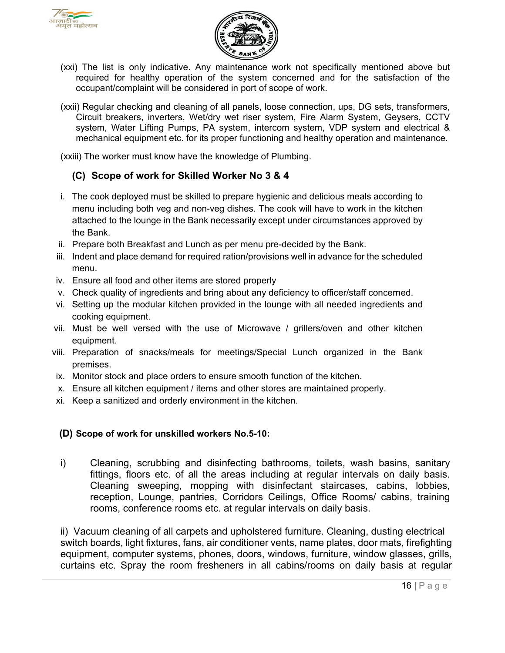



- (xxi) The list is only indicative. Any maintenance work not specifically mentioned above but required for healthy operation of the system concerned and for the satisfaction of the occupant/complaint will be considered in port of scope of work.
- (xxii) Regular checking and cleaning of all panels, loose connection, ups, DG sets, transformers, Circuit breakers, inverters, Wet/dry wet riser system, Fire Alarm System, Geysers, CCTV system, Water Lifting Pumps, PA system, intercom system, VDP system and electrical & mechanical equipment etc. for its proper functioning and healthy operation and maintenance.

(xxiii) The worker must know have the knowledge of Plumbing.

## **(C) Scope of work for Skilled Worker No 3 & 4**

- i. The cook deployed must be skilled to prepare hygienic and delicious meals according to menu including both veg and non-veg dishes. The cook will have to work in the kitchen attached to the lounge in the Bank necessarily except under circumstances approved by the Bank.
- ii. Prepare both Breakfast and Lunch as per menu pre-decided by the Bank.
- iii. Indent and place demand for required ration/provisions well in advance for the scheduled menu.
- iv. Ensure all food and other items are stored properly
- v. Check quality of ingredients and bring about any deficiency to officer/staff concerned.
- vi. Setting up the modular kitchen provided in the lounge with all needed ingredients and cooking equipment.
- vii. Must be well versed with the use of Microwave / grillers/oven and other kitchen equipment.
- viii. Preparation of snacks/meals for meetings/Special Lunch organized in the Bank premises.
- ix. Monitor stock and place orders to ensure smooth function of the kitchen.
- x. Ensure all kitchen equipment / items and other stores are maintained properly.
- xi. Keep a sanitized and orderly environment in the kitchen.

#### **(D) Scope of work for unskilled workers No.5-10:**

i) Cleaning, scrubbing and disinfecting bathrooms, toilets, wash basins, sanitary fittings, floors etc. of all the areas including at regular intervals on daily basis. Cleaning sweeping, mopping with disinfectant staircases, cabins, lobbies, reception, Lounge, pantries, Corridors Ceilings, Office Rooms/ cabins, training rooms, conference rooms etc. at regular intervals on daily basis.

ii) Vacuum cleaning of all carpets and upholstered furniture. Cleaning, dusting electrical switch boards, light fixtures, fans, air conditioner vents, name plates, door mats, firefighting equipment, computer systems, phones, doors, windows, furniture, window glasses, grills, curtains etc. Spray the room fresheners in all cabins/rooms on daily basis at regular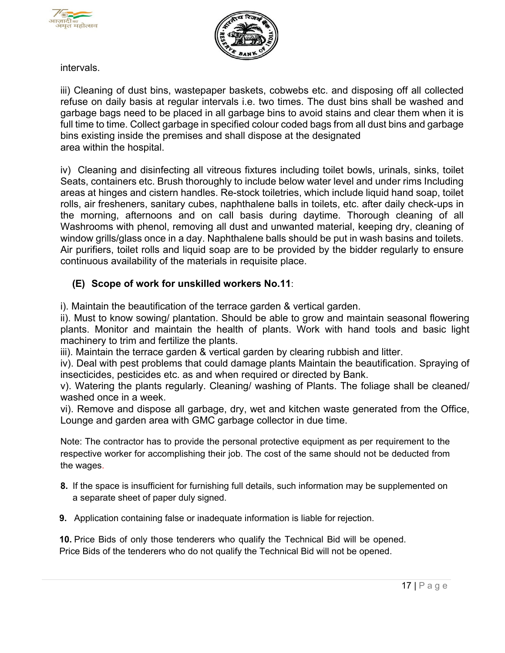



intervals.

iii) Cleaning of dust bins, wastepaper baskets, cobwebs etc. and disposing off all collected refuse on daily basis at regular intervals i.e. two times. The dust bins shall be washed and garbage bags need to be placed in all garbage bins to avoid stains and clear them when it is full time to time. Collect garbage in specified colour coded bags from all dust bins and garbage bins existing inside the premises and shall dispose at the designated area within the hospital.

iv) Cleaning and disinfecting all vitreous fixtures including toilet bowls, urinals, sinks, toilet Seats, containers etc. Brush thoroughly to include below water level and under rims Including areas at hinges and cistern handles. Re-stock toiletries, which include liquid hand soap, toilet rolls, air fresheners, sanitary cubes, naphthalene balls in toilets, etc. after daily check-ups in the morning, afternoons and on call basis during daytime. Thorough cleaning of all Washrooms with phenol, removing all dust and unwanted material, keeping dry, cleaning of window grills/glass once in a day. Naphthalene balls should be put in wash basins and toilets. Air purifiers, toilet rolls and liquid soap are to be provided by the bidder regularly to ensure continuous availability of the materials in requisite place.

# **(E) Scope of work for unskilled workers No.11**:

i). Maintain the beautification of the terrace garden & vertical garden.

ii). Must to know sowing/ plantation. Should be able to grow and maintain seasonal flowering plants. Monitor and maintain the health of plants. Work with hand tools and basic light machinery to trim and fertilize the plants.

iii). Maintain the terrace garden & vertical garden by clearing rubbish and litter.

iv). Deal with pest problems that could damage plants Maintain the beautification. Spraying of insecticides, pesticides etc. as and when required or directed by Bank.

v). Watering the plants regularly. Cleaning/ washing of Plants. The foliage shall be cleaned/ washed once in a week.

vi). Remove and dispose all garbage, dry, wet and kitchen waste generated from the Office, Lounge and garden area with GMC garbage collector in due time.

Note: The contractor has to provide the personal protective equipment as per requirement to the respective worker for accomplishing their job. The cost of the same should not be deducted from the wages.

- **8.** If the space is insufficient for furnishing full details, such information may be supplemented on a separate sheet of paper duly signed.
- **9.** Application containing false or inadequate information is liable for rejection.

**10.** Price Bids of only those tenderers who qualify the Technical Bid will be opened. Price Bids of the tenderers who do not qualify the Technical Bid will not be opened.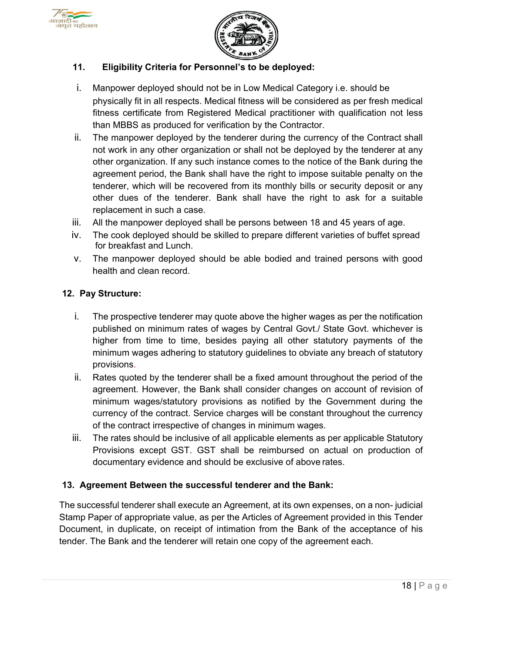



#### **11. Eligibility Criteria for Personnel's to be deployed:**

- i. Manpower deployed should not be in Low Medical Category i.e. should be physically fit in all respects. Medical fitness will be considered as per fresh medical fitness certificate from Registered Medical practitioner with qualification not less than MBBS as produced for verification by the Contractor.
- ii. The manpower deployed by the tenderer during the currency of the Contract shall not work in any other organization or shall not be deployed by the tenderer at any other organization. If any such instance comes to the notice of the Bank during the agreement period, the Bank shall have the right to impose suitable penalty on the tenderer, which will be recovered from its monthly bills or security deposit or any other dues of the tenderer. Bank shall have the right to ask for a suitable replacement in such a case.
- iii. All the manpower deployed shall be persons between 18 and 45 years of age.
- iv. The cook deployed should be skilled to prepare different varieties of buffet spread for breakfast and Lunch.
- v. The manpower deployed should be able bodied and trained persons with good health and clean record.

#### **12. Pay Structure:**

- i. The prospective tenderer may quote above the higher wages as per the notification published on minimum rates of wages by Central Govt./ State Govt. whichever is higher from time to time, besides paying all other statutory payments of the minimum wages adhering to statutory guidelines to obviate any breach of statutory provisions.
- ii. Rates quoted by the tenderer shall be a fixed amount throughout the period of the agreement. However, the Bank shall consider changes on account of revision of minimum wages/statutory provisions as notified by the Government during the currency of the contract. Service charges will be constant throughout the currency of the contract irrespective of changes in minimum wages.
- iii. The rates should be inclusive of all applicable elements as per applicable Statutory Provisions except GST. GST shall be reimbursed on actual on production of documentary evidence and should be exclusive of above rates.

#### **13. Agreement Between the successful tenderer and the Bank:**

The successful tenderer shall execute an Agreement, at its own expenses, on a non- judicial Stamp Paper of appropriate value, as per the Articles of Agreement provided in this Tender Document, in duplicate, on receipt of intimation from the Bank of the acceptance of his tender. The Bank and the tenderer will retain one copy of the agreement each.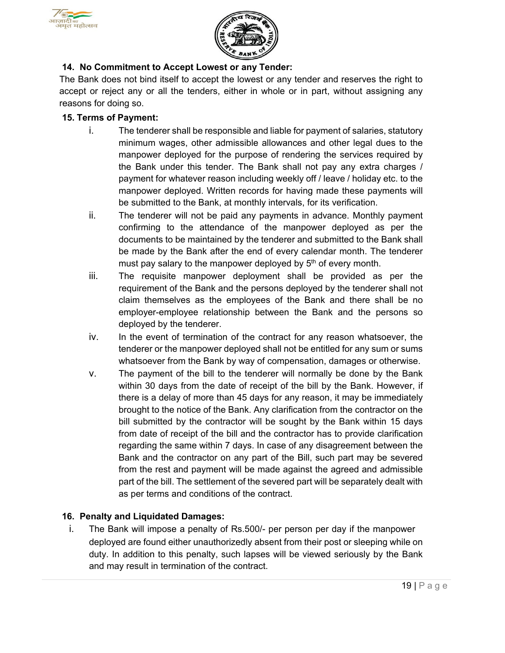



## **14. No Commitment to Accept Lowest or any Tender:**

The Bank does not bind itself to accept the lowest or any tender and reserves the right to accept or reject any or all the tenders, either in whole or in part, without assigning any reasons for doing so.

#### **15. Terms of Payment:**

- i. The tenderer shall be responsible and liable for payment of salaries, statutory minimum wages, other admissible allowances and other legal dues to the manpower deployed for the purpose of rendering the services required by the Bank under this tender. The Bank shall not pay any extra charges / payment for whatever reason including weekly off / leave / holiday etc. to the manpower deployed. Written records for having made these payments will be submitted to the Bank, at monthly intervals, for its verification.
- ii. The tenderer will not be paid any payments in advance. Monthly payment confirming to the attendance of the manpower deployed as per the documents to be maintained by the tenderer and submitted to the Bank shall be made by the Bank after the end of every calendar month. The tenderer must pay salary to the manpower deployed by 5<sup>th</sup> of every month.
- iii. The requisite manpower deployment shall be provided as per the requirement of the Bank and the persons deployed by the tenderer shall not claim themselves as the employees of the Bank and there shall be no employer-employee relationship between the Bank and the persons so deployed by the tenderer.
- iv. In the event of termination of the contract for any reason whatsoever, the tenderer or the manpower deployed shall not be entitled for any sum or sums whatsoever from the Bank by way of compensation, damages or otherwise.
- v. The payment of the bill to the tenderer will normally be done by the Bank within 30 days from the date of receipt of the bill by the Bank. However, if there is a delay of more than 45 days for any reason, it may be immediately brought to the notice of the Bank. Any clarification from the contractor on the bill submitted by the contractor will be sought by the Bank within 15 days from date of receipt of the bill and the contractor has to provide clarification regarding the same within 7 days. In case of any disagreement between the Bank and the contractor on any part of the Bill, such part may be severed from the rest and payment will be made against the agreed and admissible part of the bill. The settlement of the severed part will be separately dealt with as per terms and conditions of the contract.

#### **16. Penalty and Liquidated Damages:**

i. The Bank will impose a penalty of Rs.500/- per person per day if the manpower deployed are found either unauthorizedly absent from their post or sleeping while on duty. In addition to this penalty, such lapses will be viewed seriously by the Bank and may result in termination of the contract.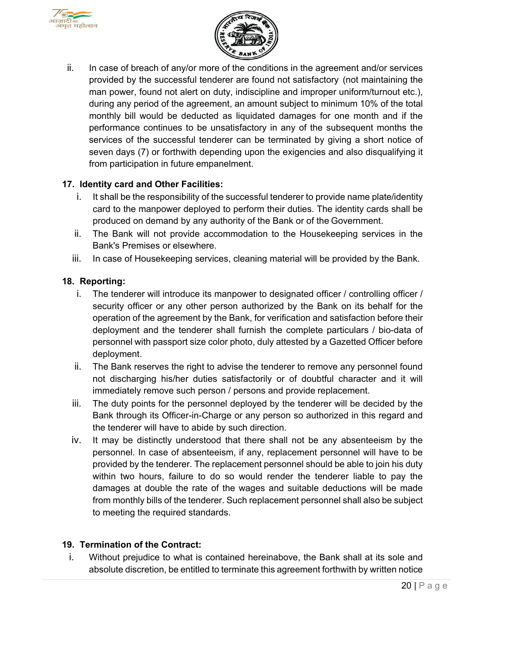



ii. In case of breach of any/or more of the conditions in the agreement and/or services provided by the successful tenderer are found not satisfactory (not maintaining the man power, found not alert on duty, indiscipline and improper uniform/turnout etc.), during any period of the agreement, an amount subject to minimum 10% of the total monthly bill would be deducted as liquidated damages for one month and if the performance continues to be unsatisfactory in any of the subsequent months the services of the successful tenderer can be terminated by giving a short notice of seven days (7) or forthwith depending upon the exigencies and also disqualifying it from participation in future empanelment.

#### **17. Identity card and Other Facilities:**

- i. It shall be the responsibility of the successful tenderer to provide name plate/identity card to the manpower deployed to perform their duties. The identity cards shall be produced on demand by any authority of the Bank or of the Government.
- ii. The Bank will not provide accommodation to the Housekeeping services in the Bank's Premises or elsewhere.
- iii. In case of Housekeeping services, cleaning material will be provided by the Bank.

## **18. Reporting:**

- i. The tenderer will introduce its manpower to designated officer / controlling officer / security officer or any other person authorized by the Bank on its behalf for the operation of the agreement by the Bank, for verification and satisfaction before their deployment and the tenderer shall furnish the complete particulars / bio-data of personnel with passport size color photo, duly attested by a Gazetted Officer before deployment.
- ii. The Bank reserves the right to advise the tenderer to remove any personnel found not discharging his/her duties satisfactorily or of doubtful character and it will immediately remove such person / persons and provide replacement.
- iii. The duty points for the personnel deployed by the tenderer will be decided by the Bank through its Officer-in-Charge or any person so authorized in this regard and the tenderer will have to abide by such direction.
- iv. It may be distinctly understood that there shall not be any absenteeism by the personnel. In case of absenteeism, if any, replacement personnel will have to be provided by the tenderer. The replacement personnel should be able to join his duty within two hours, failure to do so would render the tenderer liable to pay the damages at double the rate of the wages and suitable deductions will be made from monthly bills of the tenderer. Such replacement personnel shall also be subject to meeting the required standards.

## **19. Termination of the Contract:**

i. Without prejudice to what is contained hereinabove, the Bank shall at its sole and absolute discretion, be entitled to terminate this agreement forthwith by written notice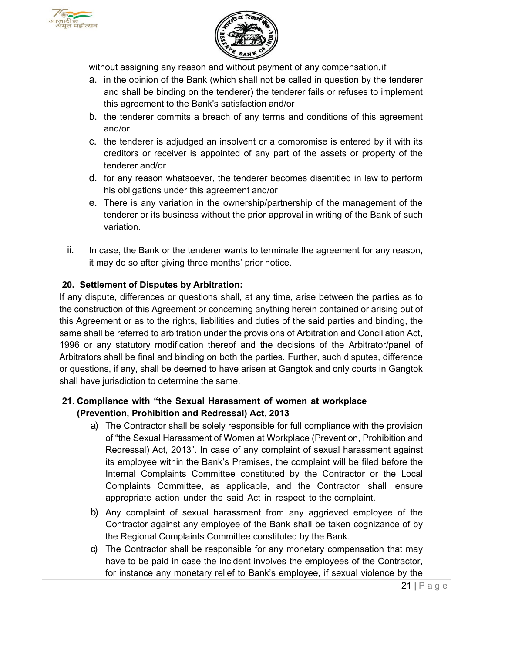



without assigning any reason and without payment of any compensation, if

- a. in the opinion of the Bank (which shall not be called in question by the tenderer and shall be binding on the tenderer) the tenderer fails or refuses to implement this agreement to the Bank's satisfaction and/or
- b. the tenderer commits a breach of any terms and conditions of this agreement and/or
- c. the tenderer is adjudged an insolvent or a compromise is entered by it with its creditors or receiver is appointed of any part of the assets or property of the tenderer and/or
- d. for any reason whatsoever, the tenderer becomes disentitled in law to perform his obligations under this agreement and/or
- e. There is any variation in the ownership/partnership of the management of the tenderer or its business without the prior approval in writing of the Bank of such variation.
- ii. In case, the Bank or the tenderer wants to terminate the agreement for any reason, it may do so after giving three months' prior notice.

#### **20. Settlement of Disputes by Arbitration:**

If any dispute, differences or questions shall, at any time, arise between the parties as to the construction of this Agreement or concerning anything herein contained or arising out of this Agreement or as to the rights, liabilities and duties of the said parties and binding, the same shall be referred to arbitration under the provisions of Arbitration and Conciliation Act, 1996 or any statutory modification thereof and the decisions of the Arbitrator/panel of Arbitrators shall be final and binding on both the parties. Further, such disputes, difference or questions, if any, shall be deemed to have arisen at Gangtok and only courts in Gangtok shall have jurisdiction to determine the same.

#### **21. Compliance with "the Sexual Harassment of women at workplace (Prevention, Prohibition and Redressal) Act, 2013**

- a) The Contractor shall be solely responsible for full compliance with the provision of "the Sexual Harassment of Women at Workplace (Prevention, Prohibition and Redressal) Act, 2013". In case of any complaint of sexual harassment against its employee within the Bank's Premises, the complaint will be filed before the Internal Complaints Committee constituted by the Contractor or the Local Complaints Committee, as applicable, and the Contractor shall ensure appropriate action under the said Act in respect to the complaint.
- b) Any complaint of sexual harassment from any aggrieved employee of the Contractor against any employee of the Bank shall be taken cognizance of by the Regional Complaints Committee constituted by the Bank.
- c) The Contractor shall be responsible for any monetary compensation that may have to be paid in case the incident involves the employees of the Contractor, for instance any monetary relief to Bank's employee, if sexual violence by the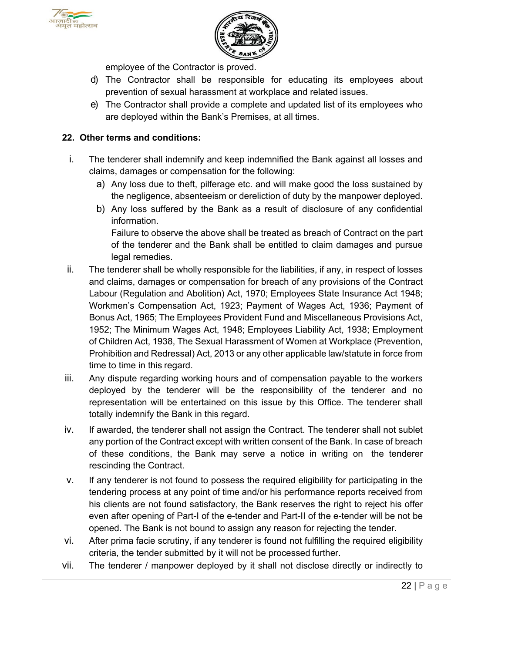



employee of the Contractor is proved.

- d) The Contractor shall be responsible for educating its employees about prevention of sexual harassment at workplace and related issues.
- e) The Contractor shall provide a complete and updated list of its employees who are deployed within the Bank's Premises, at all times.

#### **22. Other terms and conditions:**

- i. The tenderer shall indemnify and keep indemnified the Bank against all losses and claims, damages or compensation for the following:
	- a) Any loss due to theft, pilferage etc. and will make good the loss sustained by the negligence, absenteeism or dereliction of duty by the manpower deployed.
	- b) Any loss suffered by the Bank as a result of disclosure of any confidential information.

Failure to observe the above shall be treated as breach of Contract on the part of the tenderer and the Bank shall be entitled to claim damages and pursue legal remedies.

- ii. The tenderer shall be wholly responsible for the liabilities, if any, in respect of losses and claims, damages or compensation for breach of any provisions of the Contract Labour (Regulation and Abolition) Act, 1970; Employees State Insurance Act 1948; Workmen's Compensation Act, 1923; Payment of Wages Act, 1936; Payment of Bonus Act, 1965; The Employees Provident Fund and Miscellaneous Provisions Act, 1952; The Minimum Wages Act, 1948; Employees Liability Act, 1938; Employment of Children Act, 1938, The Sexual Harassment of Women at Workplace (Prevention, Prohibition and Redressal) Act, 2013 or any other applicable law/statute in force from time to time in this regard.
- iii. Any dispute regarding working hours and of compensation payable to the workers deployed by the tenderer will be the responsibility of the tenderer and no representation will be entertained on this issue by this Office. The tenderer shall totally indemnify the Bank in this regard.
- iv. If awarded, the tenderer shall not assign the Contract. The tenderer shall not sublet any portion of the Contract except with written consent of the Bank. In case of breach of these conditions, the Bank may serve a notice in writing on the tenderer rescinding the Contract.
- v. If any tenderer is not found to possess the required eligibility for participating in the tendering process at any point of time and/or his performance reports received from his clients are not found satisfactory, the Bank reserves the right to reject his offer even after opening of Part-I of the e-tender and Part-II of the e-tender will be not be opened. The Bank is not bound to assign any reason for rejecting the tender.
- vi. After prima facie scrutiny, if any tenderer is found not fulfilling the required eligibility criteria, the tender submitted by it will not be processed further.
- vii. The tenderer / manpower deployed by it shall not disclose directly or indirectly to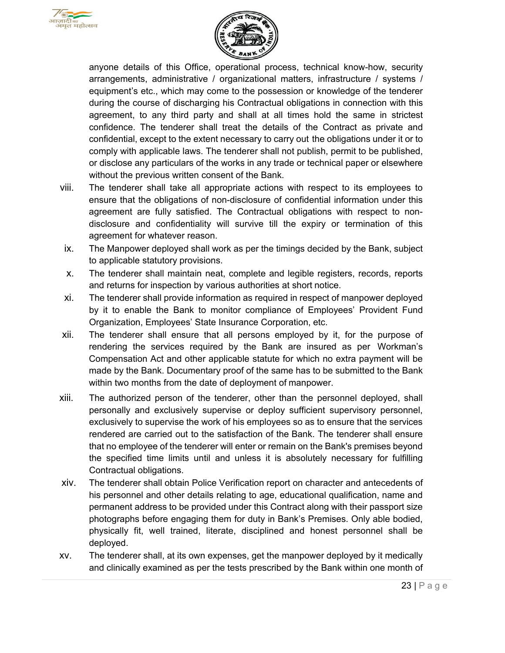



anyone details of this Office, operational process, technical know-how, security arrangements, administrative / organizational matters, infrastructure / systems / equipment's etc., which may come to the possession or knowledge of the tenderer during the course of discharging his Contractual obligations in connection with this agreement, to any third party and shall at all times hold the same in strictest confidence. The tenderer shall treat the details of the Contract as private and confidential, except to the extent necessary to carry out the obligations under it or to comply with applicable laws. The tenderer shall not publish, permit to be published, or disclose any particulars of the works in any trade or technical paper or elsewhere without the previous written consent of the Bank.

- viii. The tenderer shall take all appropriate actions with respect to its employees to ensure that the obligations of non-disclosure of confidential information under this agreement are fully satisfied. The Contractual obligations with respect to nondisclosure and confidentiality will survive till the expiry or termination of this agreement for whatever reason.
- ix. The Manpower deployed shall work as per the timings decided by the Bank, subject to applicable statutory provisions.
- x. The tenderer shall maintain neat, complete and legible registers, records, reports and returns for inspection by various authorities at short notice.
- xi. The tenderer shall provide information as required in respect of manpower deployed by it to enable the Bank to monitor compliance of Employees' Provident Fund Organization, Employees' State Insurance Corporation, etc.
- xii. The tenderer shall ensure that all persons employed by it, for the purpose of rendering the services required by the Bank are insured as per Workman's Compensation Act and other applicable statute for which no extra payment will be made by the Bank. Documentary proof of the same has to be submitted to the Bank within two months from the date of deployment of manpower.
- xiii. The authorized person of the tenderer, other than the personnel deployed, shall personally and exclusively supervise or deploy sufficient supervisory personnel, exclusively to supervise the work of his employees so as to ensure that the services rendered are carried out to the satisfaction of the Bank. The tenderer shall ensure that no employee of the tenderer will enter or remain on the Bank's premises beyond the specified time limits until and unless it is absolutely necessary for fulfilling Contractual obligations.
- xiv. The tenderer shall obtain Police Verification report on character and antecedents of his personnel and other details relating to age, educational qualification, name and permanent address to be provided under this Contract along with their passport size photographs before engaging them for duty in Bank's Premises. Only able bodied, physically fit, well trained, literate, disciplined and honest personnel shall be deployed.
- xv. The tenderer shall, at its own expenses, get the manpower deployed by it medically and clinically examined as per the tests prescribed by the Bank within one month of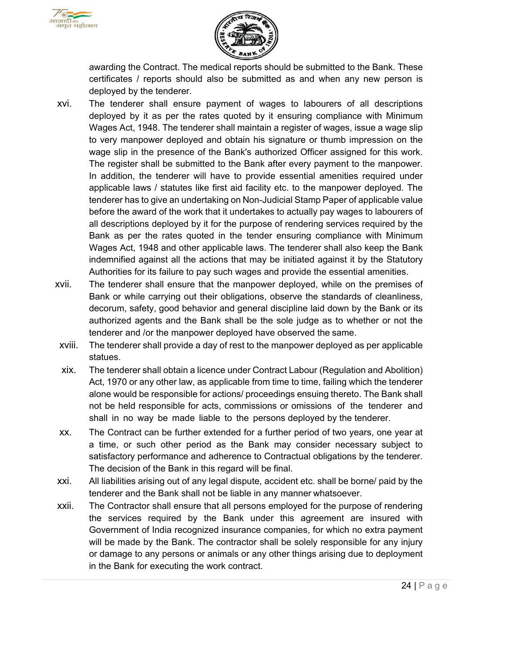



awarding the Contract. The medical reports should be submitted to the Bank. These certificates / reports should also be submitted as and when any new person is deployed by the tenderer.

- xvi. The tenderer shall ensure payment of wages to labourers of all descriptions deployed by it as per the rates quoted by it ensuring compliance with Minimum Wages Act, 1948. The tenderer shall maintain a register of wages, issue a wage slip to very manpower deployed and obtain his signature or thumb impression on the wage slip in the presence of the Bank's authorized Officer assigned for this work. The register shall be submitted to the Bank after every payment to the manpower. In addition, the tenderer will have to provide essential amenities required under applicable laws / statutes like first aid facility etc. to the manpower deployed. The tenderer has to give an undertaking on Non-Judicial Stamp Paper of applicable value before the award of the work that it undertakes to actually pay wages to labourers of all descriptions deployed by it for the purpose of rendering services required by the Bank as per the rates quoted in the tender ensuring compliance with Minimum Wages Act, 1948 and other applicable laws. The tenderer shall also keep the Bank indemnified against all the actions that may be initiated against it by the Statutory Authorities for its failure to pay such wages and provide the essential amenities.
- xvii. The tenderer shall ensure that the manpower deployed, while on the premises of Bank or while carrying out their obligations, observe the standards of cleanliness, decorum, safety, good behavior and general discipline laid down by the Bank or its authorized agents and the Bank shall be the sole judge as to whether or not the tenderer and /or the manpower deployed have observed the same.
- xviii. The tenderer shall provide a day of rest to the manpower deployed as per applicable statues.
- xix. The tenderer shall obtain a licence under Contract Labour (Regulation and Abolition) Act, 1970 or any other law, as applicable from time to time, failing which the tenderer alone would be responsible for actions/ proceedings ensuing thereto. The Bank shall not be held responsible for acts, commissions or omissions of the tenderer and shall in no way be made liable to the persons deployed by the tenderer.
- xx. The Contract can be further extended for a further period of two years, one year at a time, or such other period as the Bank may consider necessary subject to satisfactory performance and adherence to Contractual obligations by the tenderer. The decision of the Bank in this regard will be final.
- xxi. All liabilities arising out of any legal dispute, accident etc. shall be borne/ paid by the tenderer and the Bank shall not be liable in any manner whatsoever.
- xxii. The Contractor shall ensure that all persons employed for the purpose of rendering the services required by the Bank under this agreement are insured with Government of India recognized insurance companies, for which no extra payment will be made by the Bank. The contractor shall be solely responsible for any injury or damage to any persons or animals or any other things arising due to deployment in the Bank for executing the work contract.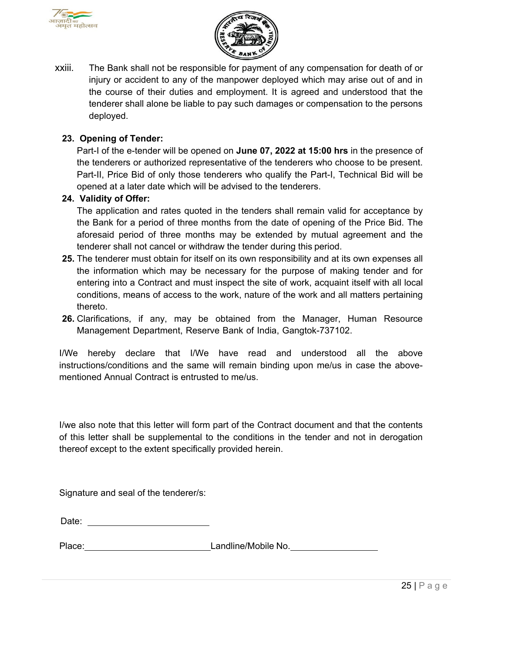



xxiii. The Bank shall not be responsible for payment of any compensation for death of or injury or accident to any of the manpower deployed which may arise out of and in the course of their duties and employment. It is agreed and understood that the tenderer shall alone be liable to pay such damages or compensation to the persons deployed.

#### **23. Opening of Tender:**

Part-I of the e-tender will be opened on **June 07, 2022 at 15:00 hrs** in the presence of the tenderers or authorized representative of the tenderers who choose to be present. Part-II, Price Bid of only those tenderers who qualify the Part-I, Technical Bid will be opened at a later date which will be advised to the tenderers.

#### **24. Validity of Offer:**

The application and rates quoted in the tenders shall remain valid for acceptance by the Bank for a period of three months from the date of opening of the Price Bid. The aforesaid period of three months may be extended by mutual agreement and the tenderer shall not cancel or withdraw the tender during this period.

- **25.** The tenderer must obtain for itself on its own responsibility and at its own expenses all the information which may be necessary for the purpose of making tender and for entering into a Contract and must inspect the site of work, acquaint itself with all local conditions, means of access to the work, nature of the work and all matters pertaining thereto.
- **26.** Clarifications, if any, may be obtained from the Manager, Human Resource Management Department, Reserve Bank of India, Gangtok-737102.

I/We hereby declare that I/We have read and understood all the above instructions/conditions and the same will remain binding upon me/us in case the abovementioned Annual Contract is entrusted to me/us.

I/we also note that this letter will form part of the Contract document and that the contents of this letter shall be supplemental to the conditions in the tender and not in derogation thereof except to the extent specifically provided herein.

Signature and seal of the tenderer/s:

Place: Capacal Canadine/Mobile No.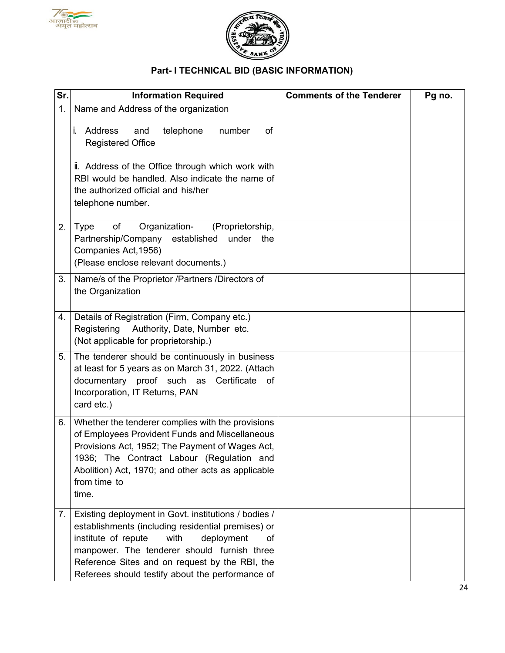



# **Part- I TECHNICAL BID (BASIC INFORMATION)**

| Sr. | <b>Information Required</b>                                                                                                                                                                                                                                                                                        | <b>Comments of the Tenderer</b> | Pg no. |
|-----|--------------------------------------------------------------------------------------------------------------------------------------------------------------------------------------------------------------------------------------------------------------------------------------------------------------------|---------------------------------|--------|
| 1.  | Name and Address of the organization                                                                                                                                                                                                                                                                               |                                 |        |
|     | i. Address<br>telephone<br>and<br>number<br>οf<br><b>Registered Office</b>                                                                                                                                                                                                                                         |                                 |        |
|     | ii. Address of the Office through which work with<br>RBI would be handled. Also indicate the name of<br>the authorized official and his/her<br>telephone number.                                                                                                                                                   |                                 |        |
| 2.  | Organization-<br>Type<br>of<br>(Proprietorship,<br>Partnership/Company established<br>under<br>the<br>Companies Act, 1956)<br>(Please enclose relevant documents.)                                                                                                                                                 |                                 |        |
| 3.  | Name/s of the Proprietor /Partners /Directors of<br>the Organization                                                                                                                                                                                                                                               |                                 |        |
| 4.  | Details of Registration (Firm, Company etc.)<br>Registering Authority, Date, Number etc.<br>(Not applicable for proprietorship.)                                                                                                                                                                                   |                                 |        |
| 5.  | The tenderer should be continuously in business<br>at least for 5 years as on March 31, 2022. (Attach<br>documentary proof such as Certificate of<br>Incorporation, IT Returns, PAN<br>card etc.)                                                                                                                  |                                 |        |
| 6.  | Whether the tenderer complies with the provisions<br>of Employees Provident Funds and Miscellaneous<br>Provisions Act, 1952; The Payment of Wages Act,<br>1936; The Contract Labour (Regulation and<br>Abolition) Act, 1970; and other acts as applicable<br>from time to<br>time.                                 |                                 |        |
| 7.1 | Existing deployment in Govt. institutions / bodies /<br>establishments (including residential premises) or<br>institute of repute<br>with<br>deployment<br>of<br>manpower. The tenderer should furnish three<br>Reference Sites and on request by the RBI, the<br>Referees should testify about the performance of |                                 |        |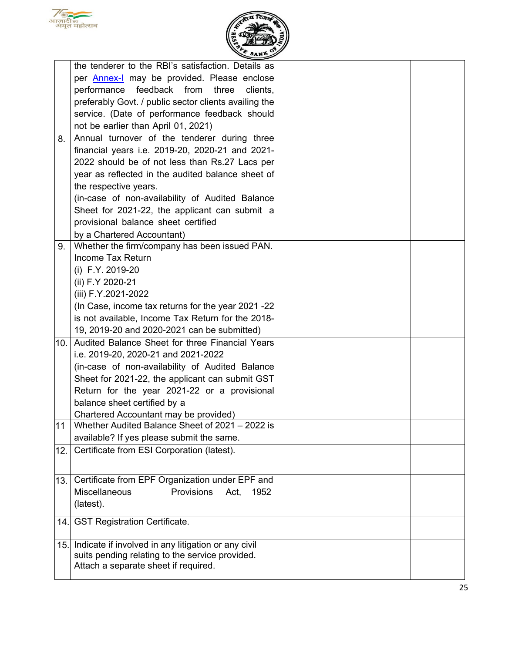



|     | the tenderer to the RBI's satisfaction. Details as                                       |  |
|-----|------------------------------------------------------------------------------------------|--|
|     | per <b>Annex-I</b> may be provided. Please enclose                                       |  |
|     | performance feedback from<br>three<br>clients,                                           |  |
|     |                                                                                          |  |
|     | preferably Govt. / public sector clients availing the                                    |  |
|     | service. (Date of performance feedback should                                            |  |
|     | not be earlier than April 01, 2021)                                                      |  |
| 8.  | Annual turnover of the tenderer during three                                             |  |
|     | financial years i.e. 2019-20, 2020-21 and 2021-                                          |  |
|     | 2022 should be of not less than Rs.27 Lacs per                                           |  |
|     | year as reflected in the audited balance sheet of                                        |  |
|     | the respective years.                                                                    |  |
|     | (in-case of non-availability of Audited Balance                                          |  |
|     | Sheet for 2021-22, the applicant can submit a                                            |  |
|     | provisional balance sheet certified                                                      |  |
|     | by a Chartered Accountant)                                                               |  |
| 9.  | Whether the firm/company has been issued PAN.                                            |  |
|     | Income Tax Return                                                                        |  |
|     | (i) F.Y. 2019-20                                                                         |  |
|     | (ii) F.Y 2020-21                                                                         |  |
|     | (iii) F.Y.2021-2022                                                                      |  |
|     | (In Case, income tax returns for the year 2021-22                                        |  |
|     | is not available, Income Tax Return for the 2018-                                        |  |
|     | 19, 2019-20 and 2020-2021 can be submitted)                                              |  |
| 10. | Audited Balance Sheet for three Financial Years                                          |  |
|     | i.e. 2019-20, 2020-21 and 2021-2022                                                      |  |
|     | (in-case of non-availability of Audited Balance                                          |  |
|     | Sheet for 2021-22, the applicant can submit GST                                          |  |
|     |                                                                                          |  |
|     | Return for the year 2021-22 or a provisional                                             |  |
|     | balance sheet certified by a                                                             |  |
|     | Chartered Accountant may be provided)<br>Whether Audited Balance Sheet of 2021 – 2022 is |  |
| 11  |                                                                                          |  |
|     | available? If yes please submit the same.                                                |  |
| 12. | Certificate from ESI Corporation (latest).                                               |  |
|     |                                                                                          |  |
| 13. | Certificate from EPF Organization under EPF and                                          |  |
|     | Miscellaneous<br>Provisions<br>Act,<br>1952                                              |  |
|     | (latest).                                                                                |  |
|     |                                                                                          |  |
| 14. | <b>GST Registration Certificate.</b>                                                     |  |
| 15. | Indicate if involved in any litigation or any civil                                      |  |
|     | suits pending relating to the service provided.                                          |  |
|     | Attach a separate sheet if required.                                                     |  |
|     |                                                                                          |  |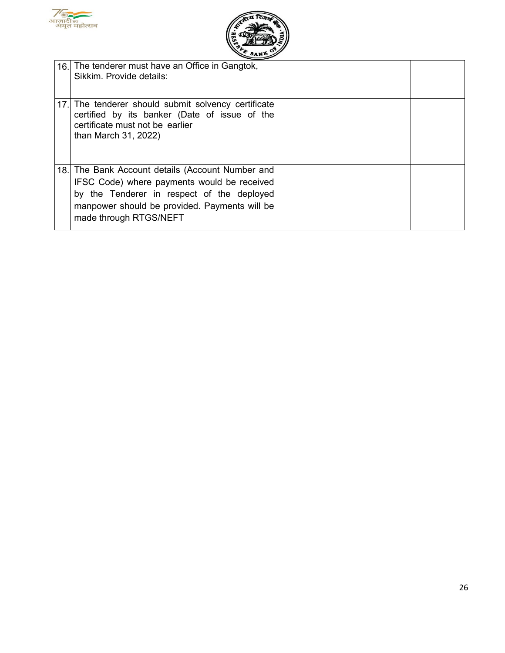



| 16. The tenderer must have an Office in Gangtok,<br>Sikkim. Provide details:                                                                                                                                             |  |
|--------------------------------------------------------------------------------------------------------------------------------------------------------------------------------------------------------------------------|--|
| 17. The tenderer should submit solvency certificate<br>certified by its banker (Date of issue of the<br>certificate must not be earlier<br>than March 31, 2022)                                                          |  |
| 18. The Bank Account details (Account Number and<br>IFSC Code) where payments would be received<br>by the Tenderer in respect of the deployed<br>manpower should be provided. Payments will be<br>made through RTGS/NEFT |  |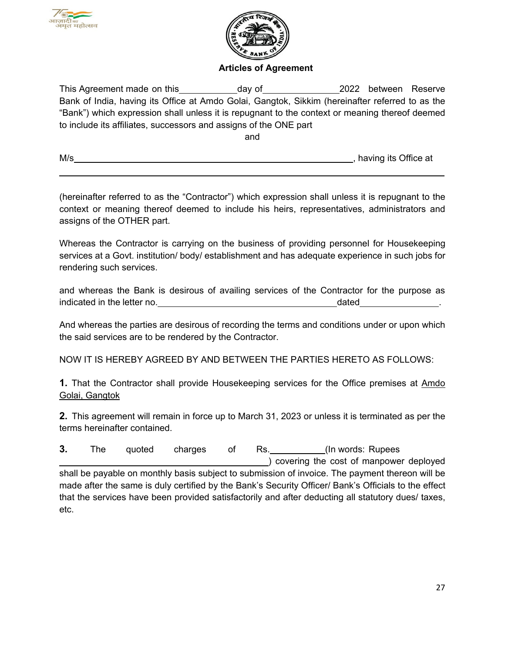



#### **Articles of Agreement**

This Agreement made on this day of the 2022 between Reserve Bank of India, having its Office at Amdo Golai, Gangtok, Sikkim (hereinafter referred to as the "Bank") which expression shall unless it is repugnant to the context or meaning thereof deemed to include its affiliates, successors and assigns of the ONE part

and

| M/s | having its Office at |
|-----|----------------------|
|     |                      |

(hereinafter referred to as the "Contractor") which expression shall unless it is repugnant to the context or meaning thereof deemed to include his heirs, representatives, administrators and assigns of the OTHER part.

Whereas the Contractor is carrying on the business of providing personnel for Housekeeping services at a Govt. institution/ body/ establishment and has adequate experience in such jobs for rendering such services.

and whereas the Bank is desirous of availing services of the Contractor for the purpose as indicated in the letter no. The same stated in the letter no.

And whereas the parties are desirous of recording the terms and conditions under or upon which the said services are to be rendered by the Contractor.

NOW IT IS HEREBY AGREED BY AND BETWEEN THE PARTIES HERETO AS FOLLOWS:

**1.** That the Contractor shall provide Housekeeping services for the Office premises at Amdo Golai, Gangtok

**2.** This agreement will remain in force up to March 31, 2023 or unless it is terminated as per the terms hereinafter contained.

**3.** The quoted charges of Rs. (In words: Rupees ) covering the cost of manpower deployed shall be payable on monthly basis subject to submission of invoice. The payment thereon will be made after the same is duly certified by the Bank's Security Officer/ Bank's Officials to the effect that the services have been provided satisfactorily and after deducting all statutory dues/ taxes, etc.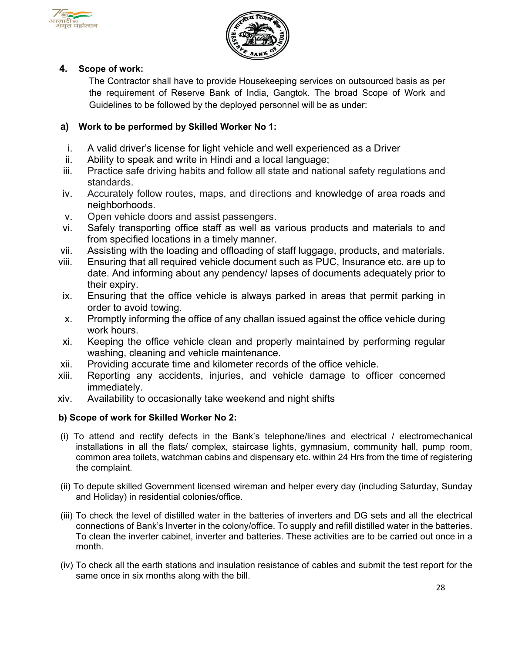



## **4. Scope of work:**

The Contractor shall have to provide Housekeeping services on outsourced basis as per the requirement of Reserve Bank of India, Gangtok. The broad Scope of Work and Guidelines to be followed by the deployed personnel will be as under:

## **a) Work to be performed by Skilled Worker No 1:**

- i. A valid driver's license for light vehicle and well experienced as a Driver
- ii. Ability to speak and write in Hindi and a local language;
- iii. Practice safe driving habits and follow all state and national safety regulations and standards.
- iv. Accurately follow routes, maps, and directions and knowledge of area roads and neighborhoods.
- v. Open vehicle doors and assist passengers.
- vi. Safely transporting office staff as well as various products and materials to and from specified locations in a timely manner.
- vii. Assisting with the loading and offloading of staff luggage, products, and materials.
- viii. Ensuring that all required vehicle document such as PUC, Insurance etc. are up to date. And informing about any pendency/ lapses of documents adequately prior to their expiry.
- ix. Ensuring that the office vehicle is always parked in areas that permit parking in order to avoid towing.
- x. Promptly informing the office of any challan issued against the office vehicle during work hours.
- xi. Keeping the office vehicle clean and properly maintained by performing regular washing, cleaning and vehicle maintenance.
- xii. Providing accurate time and kilometer records of the office vehicle.
- xiii. Reporting any accidents, injuries, and vehicle damage to officer concerned immediately.
- xiv. Availability to occasionally take weekend and night shifts

#### **b) Scope of work for Skilled Worker No 2:**

- (i) To attend and rectify defects in the Bank's telephone/lines and electrical / electromechanical installations in all the flats/ complex, staircase lights, gymnasium, community hall, pump room, common area toilets, watchman cabins and dispensary etc. within 24 Hrs from the time of registering the complaint.
- (ii) To depute skilled Government licensed wireman and helper every day (including Saturday, Sunday and Holiday) in residential colonies/office.
- (iii) To check the level of distilled water in the batteries of inverters and DG sets and all the electrical connections of Bank's Inverter in the colony/office. To supply and refill distilled water in the batteries. To clean the inverter cabinet, inverter and batteries. These activities are to be carried out once in a month.
- (iv) To check all the earth stations and insulation resistance of cables and submit the test report for the same once in six months along with the bill.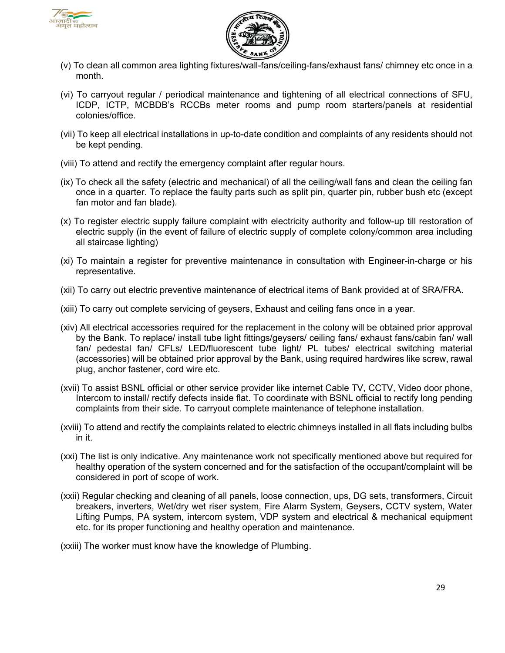



- (v) To clean all common area lighting fixtures/wall-fans/ceiling-fans/exhaust fans/ chimney etc once in a month.
- (vi) To carryout regular / periodical maintenance and tightening of all electrical connections of SFU, ICDP, ICTP, MCBDB's RCCBs meter rooms and pump room starters/panels at residential colonies/office.
- (vii) To keep all electrical installations in up-to-date condition and complaints of any residents should not be kept pending.
- (viii) To attend and rectify the emergency complaint after regular hours.
- (ix) To check all the safety (electric and mechanical) of all the ceiling/wall fans and clean the ceiling fan once in a quarter. To replace the faulty parts such as split pin, quarter pin, rubber bush etc (except fan motor and fan blade).
- (x) To register electric supply failure complaint with electricity authority and follow-up till restoration of electric supply (in the event of failure of electric supply of complete colony/common area including all staircase lighting)
- (xi) To maintain a register for preventive maintenance in consultation with Engineer-in-charge or his representative.
- (xii) To carry out electric preventive maintenance of electrical items of Bank provided at of SRA/FRA.
- (xiii) To carry out complete servicing of geysers, Exhaust and ceiling fans once in a year.
- (xiv) All electrical accessories required for the replacement in the colony will be obtained prior approval by the Bank. To replace/ install tube light fittings/geysers/ ceiling fans/ exhaust fans/cabin fan/ wall fan/ pedestal fan/ CFLs/ LED/fluorescent tube light/ PL tubes/ electrical switching material (accessories) will be obtained prior approval by the Bank, using required hardwires like screw, rawal plug, anchor fastener, cord wire etc.
- (xvii) To assist BSNL official or other service provider like internet Cable TV, CCTV, Video door phone, Intercom to install/ rectify defects inside flat. To coordinate with BSNL official to rectify long pending complaints from their side. To carryout complete maintenance of telephone installation.
- (xviii) To attend and rectify the complaints related to electric chimneys installed in all flats including bulbs in it.
- (xxi) The list is only indicative. Any maintenance work not specifically mentioned above but required for healthy operation of the system concerned and for the satisfaction of the occupant/complaint will be considered in port of scope of work.
- (xxii) Regular checking and cleaning of all panels, loose connection, ups, DG sets, transformers, Circuit breakers, inverters, Wet/dry wet riser system, Fire Alarm System, Geysers, CCTV system, Water Lifting Pumps, PA system, intercom system, VDP system and electrical & mechanical equipment etc. for its proper functioning and healthy operation and maintenance.

(xxiii) The worker must know have the knowledge of Plumbing.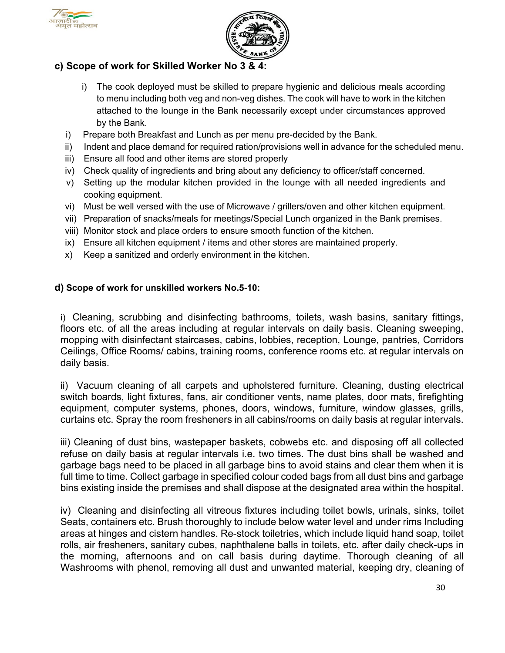



## **c) Scope of work for Skilled Worker No 3 & 4:**

- i) The cook deployed must be skilled to prepare hygienic and delicious meals according to menu including both veg and non-veg dishes. The cook will have to work in the kitchen attached to the lounge in the Bank necessarily except under circumstances approved by the Bank.
- i) Prepare both Breakfast and Lunch as per menu pre-decided by the Bank.
- ii) Indent and place demand for required ration/provisions well in advance for the scheduled menu.
- iii) Ensure all food and other items are stored properly
- iv) Check quality of ingredients and bring about any deficiency to officer/staff concerned.
- v) Setting up the modular kitchen provided in the lounge with all needed ingredients and cooking equipment.
- vi) Must be well versed with the use of Microwave / grillers/oven and other kitchen equipment.
- vii) Preparation of snacks/meals for meetings/Special Lunch organized in the Bank premises.
- viii) Monitor stock and place orders to ensure smooth function of the kitchen.
- ix) Ensure all kitchen equipment / items and other stores are maintained properly.
- x) Keep a sanitized and orderly environment in the kitchen.

#### **d) Scope of work for unskilled workers No.5-10:**

i) Cleaning, scrubbing and disinfecting bathrooms, toilets, wash basins, sanitary fittings, floors etc. of all the areas including at regular intervals on daily basis. Cleaning sweeping, mopping with disinfectant staircases, cabins, lobbies, reception, Lounge, pantries, Corridors Ceilings, Office Rooms/ cabins, training rooms, conference rooms etc. at regular intervals on daily basis.

ii) Vacuum cleaning of all carpets and upholstered furniture. Cleaning, dusting electrical switch boards, light fixtures, fans, air conditioner vents, name plates, door mats, firefighting equipment, computer systems, phones, doors, windows, furniture, window glasses, grills, curtains etc. Spray the room fresheners in all cabins/rooms on daily basis at regular intervals.

iii) Cleaning of dust bins, wastepaper baskets, cobwebs etc. and disposing off all collected refuse on daily basis at regular intervals i.e. two times. The dust bins shall be washed and garbage bags need to be placed in all garbage bins to avoid stains and clear them when it is full time to time. Collect garbage in specified colour coded bags from all dust bins and garbage bins existing inside the premises and shall dispose at the designated area within the hospital.

iv) Cleaning and disinfecting all vitreous fixtures including toilet bowls, urinals, sinks, toilet Seats, containers etc. Brush thoroughly to include below water level and under rims Including areas at hinges and cistern handles. Re-stock toiletries, which include liquid hand soap, toilet rolls, air fresheners, sanitary cubes, naphthalene balls in toilets, etc. after daily check-ups in the morning, afternoons and on call basis during daytime. Thorough cleaning of all Washrooms with phenol, removing all dust and unwanted material, keeping dry, cleaning of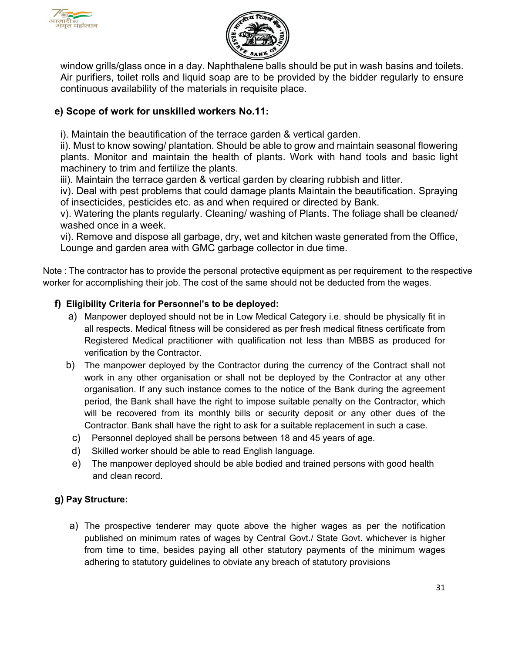



window grills/glass once in a day. Naphthalene balls should be put in wash basins and toilets. Air purifiers, toilet rolls and liquid soap are to be provided by the bidder regularly to ensure continuous availability of the materials in requisite place.

# **e) Scope of work for unskilled workers No.11:**

i). Maintain the beautification of the terrace garden & vertical garden.

ii). Must to know sowing/ plantation. Should be able to grow and maintain seasonal flowering plants. Monitor and maintain the health of plants. Work with hand tools and basic light machinery to trim and fertilize the plants.

iii). Maintain the terrace garden & vertical garden by clearing rubbish and litter.

iv). Deal with pest problems that could damage plants Maintain the beautification. Spraying of insecticides, pesticides etc. as and when required or directed by Bank.

v). Watering the plants regularly. Cleaning/ washing of Plants. The foliage shall be cleaned/ washed once in a week.

vi). Remove and dispose all garbage, dry, wet and kitchen waste generated from the Office, Lounge and garden area with GMC garbage collector in due time.

Note : The contractor has to provide the personal protective equipment as per requirement to the respective worker for accomplishing their job. The cost of the same should not be deducted from the wages.

## **f) Eligibility Criteria for Personnel's to be deployed:**

- a) Manpower deployed should not be in Low Medical Category i.e. should be physically fit in all respects. Medical fitness will be considered as per fresh medical fitness certificate from Registered Medical practitioner with qualification not less than MBBS as produced for verification by the Contractor.
- b) The manpower deployed by the Contractor during the currency of the Contract shall not work in any other organisation or shall not be deployed by the Contractor at any other organisation. If any such instance comes to the notice of the Bank during the agreement period, the Bank shall have the right to impose suitable penalty on the Contractor, which will be recovered from its monthly bills or security deposit or any other dues of the Contractor. Bank shall have the right to ask for a suitable replacement in such a case.
	- c) Personnel deployed shall be persons between 18 and 45 years of age.
	- d) Skilled worker should be able to read English language.
	- e) The manpower deployed should be able bodied and trained persons with good health and clean record.

## **g) Pay Structure:**

a) The prospective tenderer may quote above the higher wages as per the notification published on minimum rates of wages by Central Govt./ State Govt. whichever is higher from time to time, besides paying all other statutory payments of the minimum wages adhering to statutory guidelines to obviate any breach of statutory provisions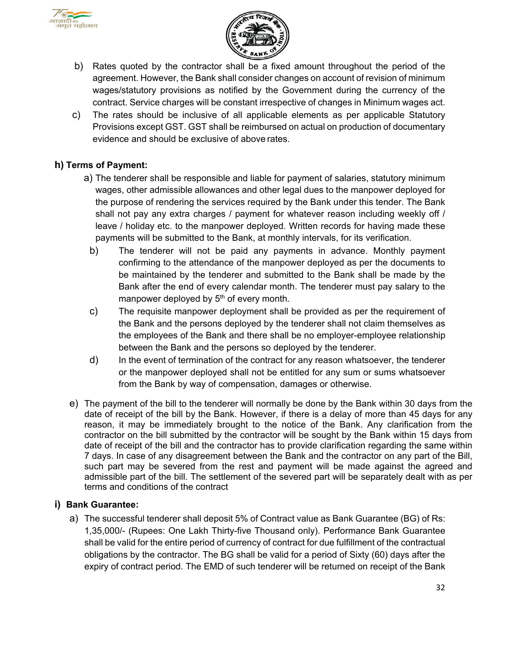



- b) Rates quoted by the contractor shall be a fixed amount throughout the period of the agreement. However, the Bank shall consider changes on account of revision of minimum wages/statutory provisions as notified by the Government during the currency of the contract. Service charges will be constant irrespective of changes in Minimum wages act.
- c) The rates should be inclusive of all applicable elements as per applicable Statutory Provisions except GST. GST shall be reimbursed on actual on production of documentary evidence and should be exclusive of above rates.

#### **h) Terms of Payment:**

- a) The tenderer shall be responsible and liable for payment of salaries, statutory minimum wages, other admissible allowances and other legal dues to the manpower deployed for the purpose of rendering the services required by the Bank under this tender. The Bank shall not pay any extra charges / payment for whatever reason including weekly off / leave / holiday etc. to the manpower deployed. Written records for having made these payments will be submitted to the Bank, at monthly intervals, for its verification.
	- b) The tenderer will not be paid any payments in advance. Monthly payment confirming to the attendance of the manpower deployed as per the documents to be maintained by the tenderer and submitted to the Bank shall be made by the Bank after the end of every calendar month. The tenderer must pay salary to the manpower deployed by 5<sup>th</sup> of every month.
	- c) The requisite manpower deployment shall be provided as per the requirement of the Bank and the persons deployed by the tenderer shall not claim themselves as the employees of the Bank and there shall be no employer-employee relationship between the Bank and the persons so deployed by the tenderer.
	- d) In the event of termination of the contract for any reason whatsoever, the tenderer or the manpower deployed shall not be entitled for any sum or sums whatsoever from the Bank by way of compensation, damages or otherwise.
- e) The payment of the bill to the tenderer will normally be done by the Bank within 30 days from the date of receipt of the bill by the Bank. However, if there is a delay of more than 45 days for any reason, it may be immediately brought to the notice of the Bank. Any clarification from the contractor on the bill submitted by the contractor will be sought by the Bank within 15 days from date of receipt of the bill and the contractor has to provide clarification regarding the same within 7 days. In case of any disagreement between the Bank and the contractor on any part of the Bill, such part may be severed from the rest and payment will be made against the agreed and admissible part of the bill. The settlement of the severed part will be separately dealt with as per terms and conditions of the contract

#### **i) Bank Guarantee:**

a) The successful tenderer shall deposit 5% of Contract value as Bank Guarantee (BG) of Rs: 1,35,000/- (Rupees: One Lakh Thirty-five Thousand only). Performance Bank Guarantee shall be valid for the entire period of currency of contract for due fulfillment of the contractual obligations by the contractor. The BG shall be valid for a period of Sixty (60) days after the expiry of contract period. The EMD of such tenderer will be returned on receipt of the Bank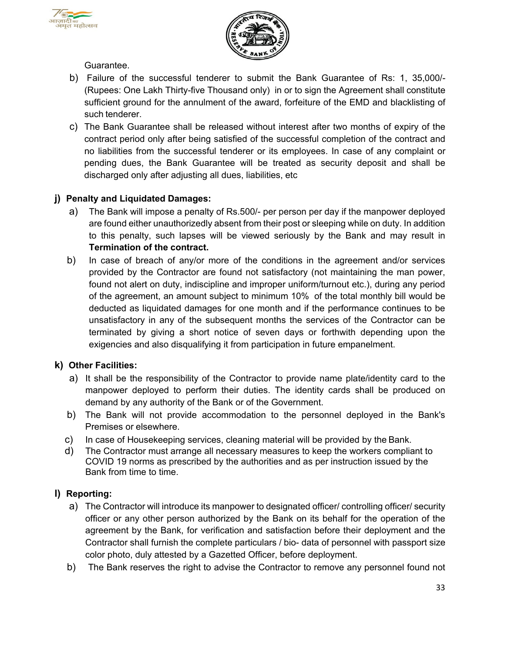



Guarantee.

- b) Failure of the successful tenderer to submit the Bank Guarantee of Rs: 1, 35,000/- (Rupees: One Lakh Thirty-five Thousand only) in or to sign the Agreement shall constitute sufficient ground for the annulment of the award, forfeiture of the EMD and blacklisting of such tenderer.
- c) The Bank Guarantee shall be released without interest after two months of expiry of the contract period only after being satisfied of the successful completion of the contract and no liabilities from the successful tenderer or its employees. In case of any complaint or pending dues, the Bank Guarantee will be treated as security deposit and shall be discharged only after adjusting all dues, liabilities, etc

#### **j) Penalty and Liquidated Damages:**

- a) The Bank will impose a penalty of Rs.500/- per person per day if the manpower deployed are found either unauthorizedly absent from their post or sleeping while on duty. In addition to this penalty, such lapses will be viewed seriously by the Bank and may result in **Termination of the contract.**
- b) In case of breach of any/or more of the conditions in the agreement and/or services provided by the Contractor are found not satisfactory (not maintaining the man power, found not alert on duty, indiscipline and improper uniform/turnout etc.), during any period of the agreement, an amount subject to minimum 10% of the total monthly bill would be deducted as liquidated damages for one month and if the performance continues to be unsatisfactory in any of the subsequent months the services of the Contractor can be terminated by giving a short notice of seven days or forthwith depending upon the exigencies and also disqualifying it from participation in future empanelment.

#### **k) Other Facilities:**

- a) It shall be the responsibility of the Contractor to provide name plate/identity card to the manpower deployed to perform their duties. The identity cards shall be produced on demand by any authority of the Bank or of the Government.
- b) The Bank will not provide accommodation to the personnel deployed in the Bank's Premises or elsewhere.
- c) In case of Housekeeping services, cleaning material will be provided by the Bank.
- d) The Contractor must arrange all necessary measures to keep the workers compliant to COVID 19 norms as prescribed by the authorities and as per instruction issued by the Bank from time to time.

#### **l) Reporting:**

- a) The Contractor will introduce its manpower to designated officer/ controlling officer/ security officer or any other person authorized by the Bank on its behalf for the operation of the agreement by the Bank, for verification and satisfaction before their deployment and the Contractor shall furnish the complete particulars / bio- data of personnel with passport size color photo, duly attested by a Gazetted Officer, before deployment.
- b) The Bank reserves the right to advise the Contractor to remove any personnel found not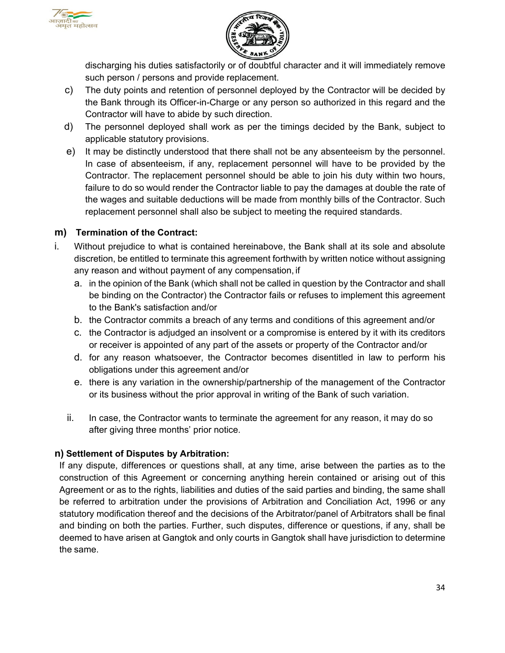



discharging his duties satisfactorily or of doubtful character and it will immediately remove such person / persons and provide replacement.

- c) The duty points and retention of personnel deployed by the Contractor will be decided by the Bank through its Officer-in-Charge or any person so authorized in this regard and the Contractor will have to abide by such direction.
- d) The personnel deployed shall work as per the timings decided by the Bank, subject to applicable statutory provisions.
- e) It may be distinctly understood that there shall not be any absenteeism by the personnel. In case of absenteeism, if any, replacement personnel will have to be provided by the Contractor. The replacement personnel should be able to join his duty within two hours, failure to do so would render the Contractor liable to pay the damages at double the rate of the wages and suitable deductions will be made from monthly bills of the Contractor. Such replacement personnel shall also be subject to meeting the required standards.

#### **m) Termination of the Contract:**

- i. Without prejudice to what is contained hereinabove, the Bank shall at its sole and absolute discretion, be entitled to terminate this agreement forthwith by written notice without assigning any reason and without payment of any compensation, if
	- a. in the opinion of the Bank (which shall not be called in question by the Contractor and shall be binding on the Contractor) the Contractor fails or refuses to implement this agreement to the Bank's satisfaction and/or
	- b. the Contractor commits a breach of any terms and conditions of this agreement and/or
	- c. the Contractor is adjudged an insolvent or a compromise is entered by it with its creditors or receiver is appointed of any part of the assets or property of the Contractor and/or
	- d. for any reason whatsoever, the Contractor becomes disentitled in law to perform his obligations under this agreement and/or
	- e. there is any variation in the ownership/partnership of the management of the Contractor or its business without the prior approval in writing of the Bank of such variation.
	- ii. In case, the Contractor wants to terminate the agreement for any reason, it may do so after giving three months' prior notice.

## **n) Settlement of Disputes by Arbitration:**

If any dispute, differences or questions shall, at any time, arise between the parties as to the construction of this Agreement or concerning anything herein contained or arising out of this Agreement or as to the rights, liabilities and duties of the said parties and binding, the same shall be referred to arbitration under the provisions of Arbitration and Conciliation Act, 1996 or any statutory modification thereof and the decisions of the Arbitrator/panel of Arbitrators shall be final and binding on both the parties. Further, such disputes, difference or questions, if any, shall be deemed to have arisen at Gangtok and only courts in Gangtok shall have jurisdiction to determine the same.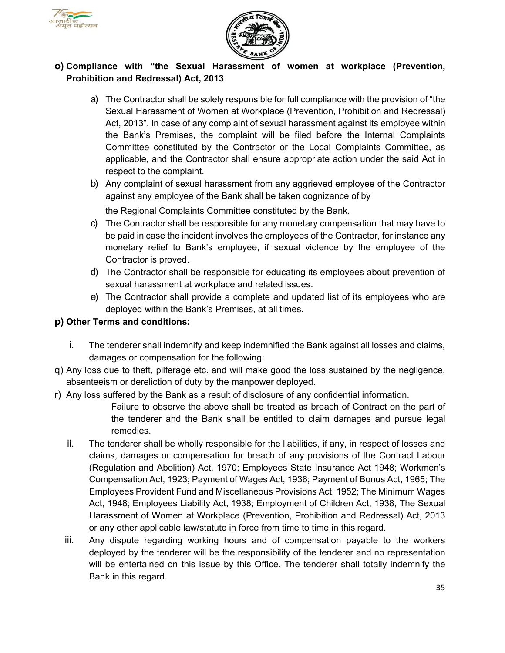



## **o) Compliance with "the Sexual Harassment of women at workplace (Prevention, Prohibition and Redressal) Act, 2013**

- a) The Contractor shall be solely responsible for full compliance with the provision of "the Sexual Harassment of Women at Workplace (Prevention, Prohibition and Redressal) Act, 2013". In case of any complaint of sexual harassment against its employee within the Bank's Premises, the complaint will be filed before the Internal Complaints Committee constituted by the Contractor or the Local Complaints Committee, as applicable, and the Contractor shall ensure appropriate action under the said Act in respect to the complaint.
- b) Any complaint of sexual harassment from any aggrieved employee of the Contractor against any employee of the Bank shall be taken cognizance of by

the Regional Complaints Committee constituted by the Bank.

- c) The Contractor shall be responsible for any monetary compensation that may have to be paid in case the incident involves the employees of the Contractor, for instance any monetary relief to Bank's employee, if sexual violence by the employee of the Contractor is proved.
- d) The Contractor shall be responsible for educating its employees about prevention of sexual harassment at workplace and related issues.
- e) The Contractor shall provide a complete and updated list of its employees who are deployed within the Bank's Premises, at all times.

#### **p) Other Terms and conditions:**

- i. The tenderer shall indemnify and keep indemnified the Bank against all losses and claims, damages or compensation for the following:
- q) Any loss due to theft, pilferage etc. and will make good the loss sustained by the negligence, absenteeism or dereliction of duty by the manpower deployed.
- r) Any loss suffered by the Bank as a result of disclosure of any confidential information.
	- Failure to observe the above shall be treated as breach of Contract on the part of the tenderer and the Bank shall be entitled to claim damages and pursue legal remedies.
	- ii. The tenderer shall be wholly responsible for the liabilities, if any, in respect of losses and claims, damages or compensation for breach of any provisions of the Contract Labour (Regulation and Abolition) Act, 1970; Employees State Insurance Act 1948; Workmen's Compensation Act, 1923; Payment of Wages Act, 1936; Payment of Bonus Act, 1965; The Employees Provident Fund and Miscellaneous Provisions Act, 1952; The Minimum Wages Act, 1948; Employees Liability Act, 1938; Employment of Children Act, 1938, The Sexual Harassment of Women at Workplace (Prevention, Prohibition and Redressal) Act, 2013 or any other applicable law/statute in force from time to time in this regard.
	- iii. Any dispute regarding working hours and of compensation payable to the workers deployed by the tenderer will be the responsibility of the tenderer and no representation will be entertained on this issue by this Office. The tenderer shall totally indemnify the Bank in this regard.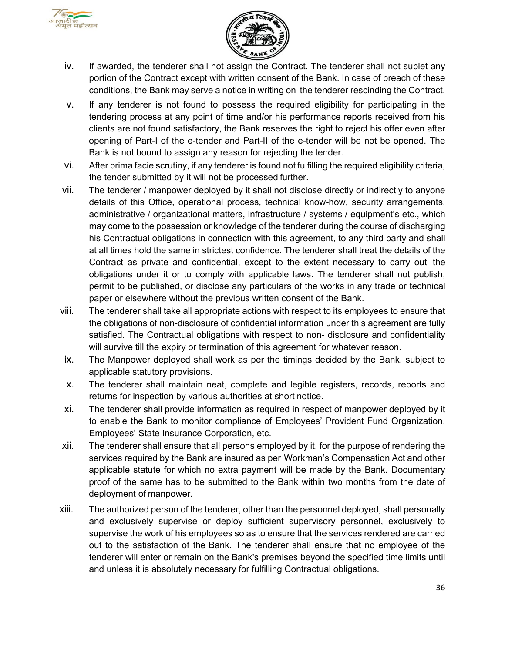



- iv. If awarded, the tenderer shall not assign the Contract. The tenderer shall not sublet any portion of the Contract except with written consent of the Bank. In case of breach of these conditions, the Bank may serve a notice in writing on the tenderer rescinding the Contract.
- v. If any tenderer is not found to possess the required eligibility for participating in the tendering process at any point of time and/or his performance reports received from his clients are not found satisfactory, the Bank reserves the right to reject his offer even after opening of Part-I of the e-tender and Part-II of the e-tender will be not be opened. The Bank is not bound to assign any reason for rejecting the tender.
- vi. After prima facie scrutiny, if any tenderer is found not fulfilling the required eligibility criteria, the tender submitted by it will not be processed further.
- vii. The tenderer / manpower deployed by it shall not disclose directly or indirectly to anyone details of this Office, operational process, technical know-how, security arrangements, administrative / organizational matters, infrastructure / systems / equipment's etc., which may come to the possession or knowledge of the tenderer during the course of discharging his Contractual obligations in connection with this agreement, to any third party and shall at all times hold the same in strictest confidence. The tenderer shall treat the details of the Contract as private and confidential, except to the extent necessary to carry out the obligations under it or to comply with applicable laws. The tenderer shall not publish, permit to be published, or disclose any particulars of the works in any trade or technical paper or elsewhere without the previous written consent of the Bank.
- viii. The tenderer shall take all appropriate actions with respect to its employees to ensure that the obligations of non-disclosure of confidential information under this agreement are fully satisfied. The Contractual obligations with respect to non- disclosure and confidentiality will survive till the expiry or termination of this agreement for whatever reason.
- ix. The Manpower deployed shall work as per the timings decided by the Bank, subject to applicable statutory provisions.
- x. The tenderer shall maintain neat, complete and legible registers, records, reports and returns for inspection by various authorities at short notice.
- xi. The tenderer shall provide information as required in respect of manpower deployed by it to enable the Bank to monitor compliance of Employees' Provident Fund Organization, Employees' State Insurance Corporation, etc.
- xii. The tenderer shall ensure that all persons employed by it, for the purpose of rendering the services required by the Bank are insured as per Workman's Compensation Act and other applicable statute for which no extra payment will be made by the Bank. Documentary proof of the same has to be submitted to the Bank within two months from the date of deployment of manpower.
- xiii. The authorized person of the tenderer, other than the personnel deployed, shall personally and exclusively supervise or deploy sufficient supervisory personnel, exclusively to supervise the work of his employees so as to ensure that the services rendered are carried out to the satisfaction of the Bank. The tenderer shall ensure that no employee of the tenderer will enter or remain on the Bank's premises beyond the specified time limits until and unless it is absolutely necessary for fulfilling Contractual obligations.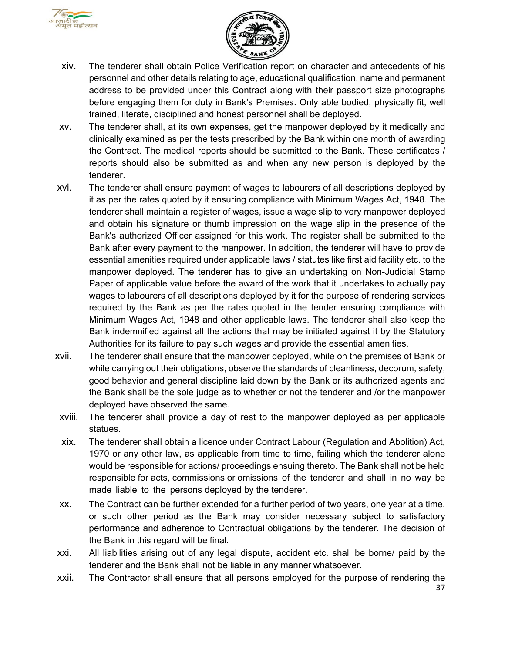



- xiv. The tenderer shall obtain Police Verification report on character and antecedents of his personnel and other details relating to age, educational qualification, name and permanent address to be provided under this Contract along with their passport size photographs before engaging them for duty in Bank's Premises. Only able bodied, physically fit, well trained, literate, disciplined and honest personnel shall be deployed.
- xv. The tenderer shall, at its own expenses, get the manpower deployed by it medically and clinically examined as per the tests prescribed by the Bank within one month of awarding the Contract. The medical reports should be submitted to the Bank. These certificates / reports should also be submitted as and when any new person is deployed by the tenderer.
- xvi. The tenderer shall ensure payment of wages to labourers of all descriptions deployed by it as per the rates quoted by it ensuring compliance with Minimum Wages Act, 1948. The tenderer shall maintain a register of wages, issue a wage slip to very manpower deployed and obtain his signature or thumb impression on the wage slip in the presence of the Bank's authorized Officer assigned for this work. The register shall be submitted to the Bank after every payment to the manpower. In addition, the tenderer will have to provide essential amenities required under applicable laws / statutes like first aid facility etc. to the manpower deployed. The tenderer has to give an undertaking on Non-Judicial Stamp Paper of applicable value before the award of the work that it undertakes to actually pay wages to labourers of all descriptions deployed by it for the purpose of rendering services required by the Bank as per the rates quoted in the tender ensuring compliance with Minimum Wages Act, 1948 and other applicable laws. The tenderer shall also keep the Bank indemnified against all the actions that may be initiated against it by the Statutory Authorities for its failure to pay such wages and provide the essential amenities.
- xvii. The tenderer shall ensure that the manpower deployed, while on the premises of Bank or while carrying out their obligations, observe the standards of cleanliness, decorum, safety, good behavior and general discipline laid down by the Bank or its authorized agents and the Bank shall be the sole judge as to whether or not the tenderer and /or the manpower deployed have observed the same.
- xviii. The tenderer shall provide a day of rest to the manpower deployed as per applicable statues.
- xix. The tenderer shall obtain a licence under Contract Labour (Regulation and Abolition) Act, 1970 or any other law, as applicable from time to time, failing which the tenderer alone would be responsible for actions/ proceedings ensuing thereto. The Bank shall not be held responsible for acts, commissions or omissions of the tenderer and shall in no way be made liable to the persons deployed by the tenderer.
- xx. The Contract can be further extended for a further period of two years, one year at a time, or such other period as the Bank may consider necessary subject to satisfactory performance and adherence to Contractual obligations by the tenderer. The decision of the Bank in this regard will be final.
- xxi. All liabilities arising out of any legal dispute, accident etc. shall be borne/ paid by the tenderer and the Bank shall not be liable in any manner whatsoever.
- xxii. The Contractor shall ensure that all persons employed for the purpose of rendering the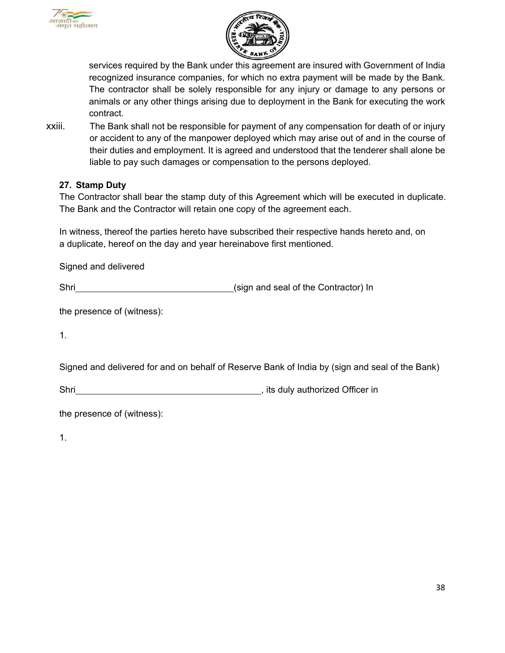



services required by the Bank under this agreement are insured with Government of India recognized insurance companies, for which no extra payment will be made by the Bank. The contractor shall be solely responsible for any injury or damage to any persons or animals or any other things arising due to deployment in the Bank for executing the work contract.

xxiii. The Bank shall not be responsible for payment of any compensation for death of or injury or accident to any of the manpower deployed which may arise out of and in the course of their duties and employment. It is agreed and understood that the tenderer shall alone be liable to pay such damages or compensation to the persons deployed.

## **27. Stamp Duty**

The Contractor shall bear the stamp duty of this Agreement which will be executed in duplicate. The Bank and the Contractor will retain one copy of the agreement each.

In witness, thereof the parties hereto have subscribed their respective hands hereto and, on a duplicate, hereof on the day and year hereinabove first mentioned.

| Signed and delivered |                                      |
|----------------------|--------------------------------------|
| Shri                 | (sign and seal of the Contractor) In |

the presence of (witness):

1.

Signed and delivered for and on behalf of Reserve Bank of India by (sign and seal of the Bank)

Shri **Shri** , its duly authorized Officer in

the presence of (witness):

1.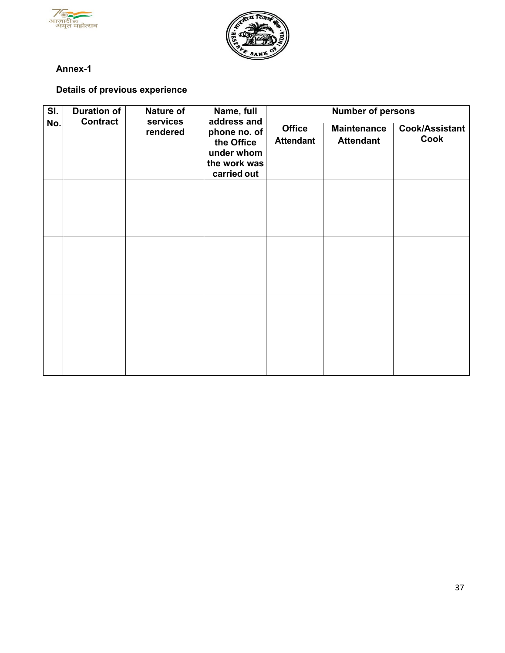



## <span id="page-42-0"></span>**Annex-1**

## **Details of previous experience**

| SI. | <b>Duration of</b><br><b>Contract</b> | Nature of<br>services                                                   | Name, full<br>address and         |                                        | <b>Number of persons</b>      |  |
|-----|---------------------------------------|-------------------------------------------------------------------------|-----------------------------------|----------------------------------------|-------------------------------|--|
| No. | rendered                              | phone no. of<br>the Office<br>under whom<br>the work was<br>carried out | <b>Office</b><br><b>Attendant</b> | <b>Maintenance</b><br><b>Attendant</b> | <b>Cook/Assistant</b><br>Cook |  |
|     |                                       |                                                                         |                                   |                                        |                               |  |
|     |                                       |                                                                         |                                   |                                        |                               |  |
|     |                                       |                                                                         |                                   |                                        |                               |  |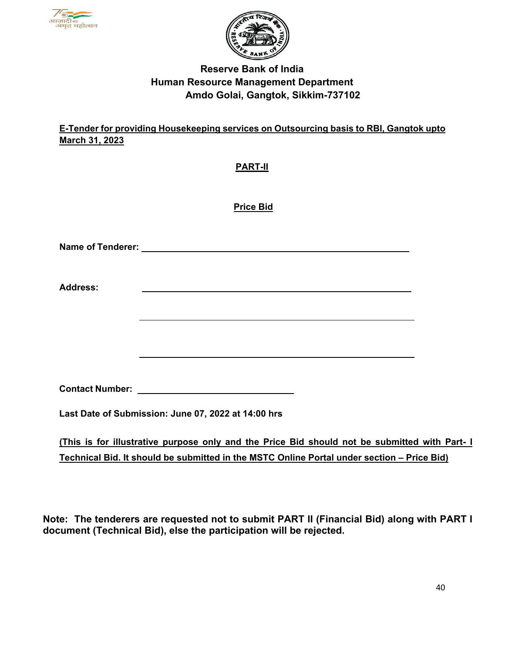



# **Reserve Bank of India Human Resource Management Department Amdo Golai, Gangtok, Sikkim-737102**

## **E-Tender for providing Housekeeping services on Outsourcing basis to RBI, Gangtok upto March 31, 2023**

## **PART-II**

 **Price Bid**

| <b>Address:</b> |                                                                                                                       |  |
|-----------------|-----------------------------------------------------------------------------------------------------------------------|--|
|                 | <u> 1989 - Andrea Station Barbara, actor a component de la componentación de la componentación de la componentaci</u> |  |
|                 |                                                                                                                       |  |
|                 |                                                                                                                       |  |
|                 | <b>Contact Number:</b> The Contact Number:                                                                            |  |
|                 | Last Date of Submission: June 07, 2022 at 14:00 hrs                                                                   |  |
|                 | (This is for illustrative purpose only and the Price Bid should not be submitted with Part- I                         |  |
|                 | Technical Bid. It should be submitted in the MSTC Online Portal under section – Price Bid)                            |  |

**Note: The tenderers are requested not to submit PART II (Financial Bid) along with PART I document (Technical Bid), else the participation will be rejected.**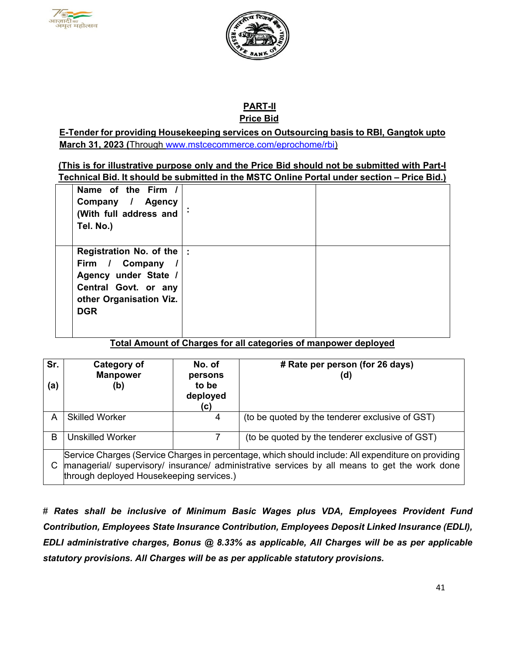



 **PART-II** **Price Bid**

**E-Tender for providing Housekeeping services on Outsourcing basis to RBI, Gangtok upto March 31, 2023 (**Through [www.mstcecommerce.com/eprochome/rbi\)](https://www.mstcecommerce.com/eprochome/rbi/)

**(This is for illustrative purpose only and the Price Bid should not be submitted with Part-I Technical Bid. It should be submitted in the MSTC Online Portal under section – Price Bid.)**

| Name of the Firm /<br>Company / Agency<br>(With full address and<br>Tel. No.)                                                                  |  |
|------------------------------------------------------------------------------------------------------------------------------------------------|--|
| Registration No. of the $\vert$ :<br>Firm / Company /<br>Agency under State /<br>Central Govt. or any<br>other Organisation Viz.<br><b>DGR</b> |  |

**Total Amount of Charges for all categories of manpower deployed**

| Sr.<br>(a) | Category of<br><b>Manpower</b><br>(b)                                                                                                                                                                                                           | No. of<br>persons<br>to be<br>deployed<br>(C) | # Rate per person (for 26 days)<br>(d)          |  |  |
|------------|-------------------------------------------------------------------------------------------------------------------------------------------------------------------------------------------------------------------------------------------------|-----------------------------------------------|-------------------------------------------------|--|--|
| A          | <b>Skilled Worker</b>                                                                                                                                                                                                                           | 4                                             | (to be quoted by the tenderer exclusive of GST) |  |  |
| B          | <b>Unskilled Worker</b>                                                                                                                                                                                                                         |                                               | (to be quoted by the tenderer exclusive of GST) |  |  |
|            | Service Charges (Service Charges in percentage, which should include: All expenditure on providing<br>managerial/ supervisory/ insurance/ administrative services by all means to get the work done<br>through deployed Housekeeping services.) |                                               |                                                 |  |  |

# *Rates shall be inclusive of Minimum Basic Wages plus VDA, Employees Provident Fund Contribution, Employees State Insurance Contribution, Employees Deposit Linked Insurance (EDLI), EDLI administrative charges, Bonus @ 8.33% as applicable, All Charges will be as per applicable statutory provisions. All Charges will be as per applicable statutory provisions.*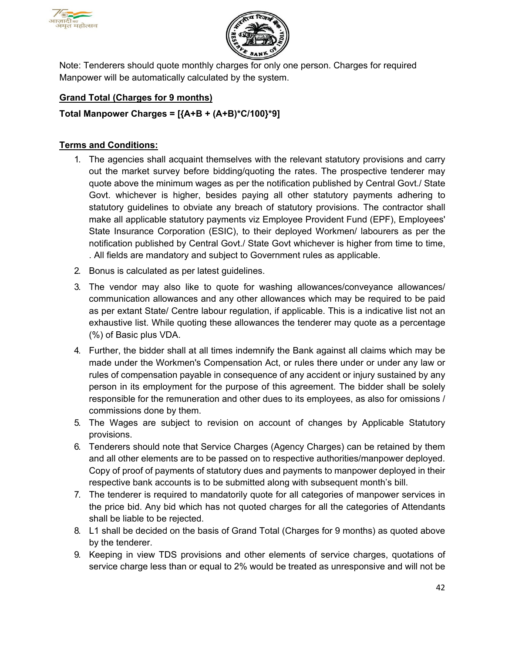



Note: Tenderers should quote monthly charges for only one person. Charges for required Manpower will be automatically calculated by the system.

## **Grand Total (Charges for 9 months)**

## **Total Manpower Charges = [{A+B + (A+B)\*C/100}\*9]**

#### **Terms and Conditions:**

- 1. The agencies shall acquaint themselves with the relevant statutory provisions and carry out the market survey before bidding/quoting the rates. The prospective tenderer may quote above the minimum wages as per the notification published by Central Govt./ State Govt. whichever is higher, besides paying all other statutory payments adhering to statutory guidelines to obviate any breach of statutory provisions. The contractor shall make all applicable statutory payments viz Employee Provident Fund (EPF), Employees' State Insurance Corporation (ESIC), to their deployed Workmen/ labourers as per the notification published by Central Govt./ State Govt whichever is higher from time to time, . All fields are mandatory and subject to Government rules as applicable.
- 2. Bonus is calculated as per latest guidelines.
- 3. The vendor may also like to quote for washing allowances/conveyance allowances/ communication allowances and any other allowances which may be required to be paid as per extant State/ Centre labour regulation, if applicable. This is a indicative list not an exhaustive list. While quoting these allowances the tenderer may quote as a percentage (%) of Basic plus VDA.
- 4. Further, the bidder shall at all times indemnify the Bank against all claims which may be made under the Workmen's Compensation Act, or rules there under or under any law or rules of compensation payable in consequence of any accident or injury sustained by any person in its employment for the purpose of this agreement. The bidder shall be solely responsible for the remuneration and other dues to its employees, as also for omissions / commissions done by them.
- 5. The Wages are subject to revision on account of changes by Applicable Statutory provisions.
- 6. Tenderers should note that Service Charges (Agency Charges) can be retained by them and all other elements are to be passed on to respective authorities/manpower deployed. Copy of proof of payments of statutory dues and payments to manpower deployed in their respective bank accounts is to be submitted along with subsequent month's bill.
- 7. The tenderer is required to mandatorily quote for all categories of manpower services in the price bid. Any bid which has not quoted charges for all the categories of Attendants shall be liable to be rejected.
- 8. L1 shall be decided on the basis of Grand Total (Charges for 9 months) as quoted above by the tenderer.
- 9. Keeping in view TDS provisions and other elements of service charges, quotations of service charge less than or equal to 2% would be treated as unresponsive and will not be